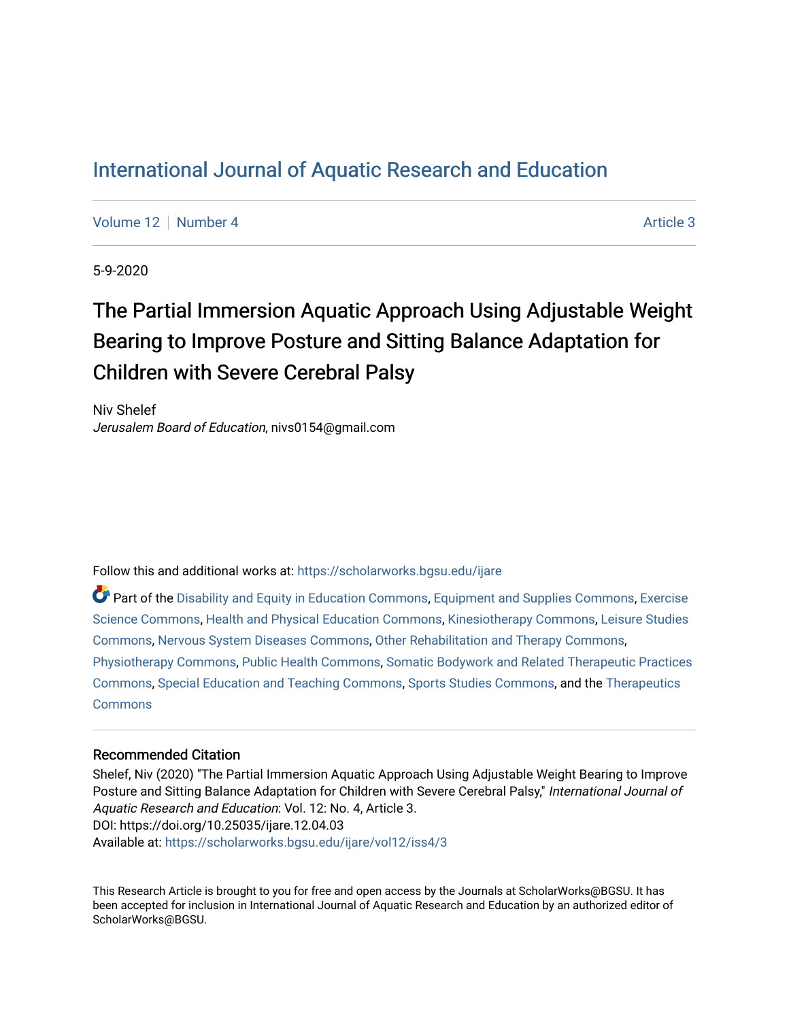# [International Journal of Aquatic Research and Education](https://scholarworks.bgsu.edu/ijare)

[Volume 12](https://scholarworks.bgsu.edu/ijare/vol12) [Number 4](https://scholarworks.bgsu.edu/ijare/vol12/iss4) Article 3

5-9-2020

# The Partial Immersion Aquatic Approach Using Adjustable Weight Bearing to Improve Posture and Sitting Balance Adaptation for Children with Severe Cerebral Palsy

Niv Shelef Jerusalem Board of Education, nivs0154@gmail.com

Follow this and additional works at: [https://scholarworks.bgsu.edu/ijare](https://scholarworks.bgsu.edu/ijare?utm_source=scholarworks.bgsu.edu%2Fijare%2Fvol12%2Fiss4%2F3&utm_medium=PDF&utm_campaign=PDFCoverPages) 

**C** Part of the [Disability and Equity in Education Commons](http://network.bepress.com/hgg/discipline/1040?utm_source=scholarworks.bgsu.edu%2Fijare%2Fvol12%2Fiss4%2F3&utm_medium=PDF&utm_campaign=PDFCoverPages), [Equipment and Supplies Commons,](http://network.bepress.com/hgg/discipline/944?utm_source=scholarworks.bgsu.edu%2Fijare%2Fvol12%2Fiss4%2F3&utm_medium=PDF&utm_campaign=PDFCoverPages) [Exercise](http://network.bepress.com/hgg/discipline/1091?utm_source=scholarworks.bgsu.edu%2Fijare%2Fvol12%2Fiss4%2F3&utm_medium=PDF&utm_campaign=PDFCoverPages) [Science Commons,](http://network.bepress.com/hgg/discipline/1091?utm_source=scholarworks.bgsu.edu%2Fijare%2Fvol12%2Fiss4%2F3&utm_medium=PDF&utm_campaign=PDFCoverPages) [Health and Physical Education Commons](http://network.bepress.com/hgg/discipline/1327?utm_source=scholarworks.bgsu.edu%2Fijare%2Fvol12%2Fiss4%2F3&utm_medium=PDF&utm_campaign=PDFCoverPages), [Kinesiotherapy Commons](http://network.bepress.com/hgg/discipline/757?utm_source=scholarworks.bgsu.edu%2Fijare%2Fvol12%2Fiss4%2F3&utm_medium=PDF&utm_campaign=PDFCoverPages), [Leisure Studies](http://network.bepress.com/hgg/discipline/1197?utm_source=scholarworks.bgsu.edu%2Fijare%2Fvol12%2Fiss4%2F3&utm_medium=PDF&utm_campaign=PDFCoverPages)  [Commons](http://network.bepress.com/hgg/discipline/1197?utm_source=scholarworks.bgsu.edu%2Fijare%2Fvol12%2Fiss4%2F3&utm_medium=PDF&utm_campaign=PDFCoverPages), [Nervous System Diseases Commons,](http://network.bepress.com/hgg/discipline/928?utm_source=scholarworks.bgsu.edu%2Fijare%2Fvol12%2Fiss4%2F3&utm_medium=PDF&utm_campaign=PDFCoverPages) [Other Rehabilitation and Therapy Commons,](http://network.bepress.com/hgg/discipline/758?utm_source=scholarworks.bgsu.edu%2Fijare%2Fvol12%2Fiss4%2F3&utm_medium=PDF&utm_campaign=PDFCoverPages) [Physiotherapy Commons](http://network.bepress.com/hgg/discipline/1086?utm_source=scholarworks.bgsu.edu%2Fijare%2Fvol12%2Fiss4%2F3&utm_medium=PDF&utm_campaign=PDFCoverPages), [Public Health Commons,](http://network.bepress.com/hgg/discipline/738?utm_source=scholarworks.bgsu.edu%2Fijare%2Fvol12%2Fiss4%2F3&utm_medium=PDF&utm_campaign=PDFCoverPages) [Somatic Bodywork and Related Therapeutic Practices](http://network.bepress.com/hgg/discipline/750?utm_source=scholarworks.bgsu.edu%2Fijare%2Fvol12%2Fiss4%2F3&utm_medium=PDF&utm_campaign=PDFCoverPages) [Commons](http://network.bepress.com/hgg/discipline/750?utm_source=scholarworks.bgsu.edu%2Fijare%2Fvol12%2Fiss4%2F3&utm_medium=PDF&utm_campaign=PDFCoverPages), [Special Education and Teaching Commons](http://network.bepress.com/hgg/discipline/801?utm_source=scholarworks.bgsu.edu%2Fijare%2Fvol12%2Fiss4%2F3&utm_medium=PDF&utm_campaign=PDFCoverPages), [Sports Studies Commons](http://network.bepress.com/hgg/discipline/1198?utm_source=scholarworks.bgsu.edu%2Fijare%2Fvol12%2Fiss4%2F3&utm_medium=PDF&utm_campaign=PDFCoverPages), and the [Therapeutics](http://network.bepress.com/hgg/discipline/993?utm_source=scholarworks.bgsu.edu%2Fijare%2Fvol12%2Fiss4%2F3&utm_medium=PDF&utm_campaign=PDFCoverPages) [Commons](http://network.bepress.com/hgg/discipline/993?utm_source=scholarworks.bgsu.edu%2Fijare%2Fvol12%2Fiss4%2F3&utm_medium=PDF&utm_campaign=PDFCoverPages)

#### Recommended Citation

Shelef, Niv (2020) "The Partial Immersion Aquatic Approach Using Adjustable Weight Bearing to Improve Posture and Sitting Balance Adaptation for Children with Severe Cerebral Palsy," International Journal of Aquatic Research and Education: Vol. 12: No. 4, Article 3. DOI: https://doi.org/10.25035/ijare.12.04.03 Available at: [https://scholarworks.bgsu.edu/ijare/vol12/iss4/3](https://scholarworks.bgsu.edu/ijare/vol12/iss4/3?utm_source=scholarworks.bgsu.edu%2Fijare%2Fvol12%2Fiss4%2F3&utm_medium=PDF&utm_campaign=PDFCoverPages)

This Research Article is brought to you for free and open access by the Journals at ScholarWorks@BGSU. It has been accepted for inclusion in International Journal of Aquatic Research and Education by an authorized editor of ScholarWorks@BGSU.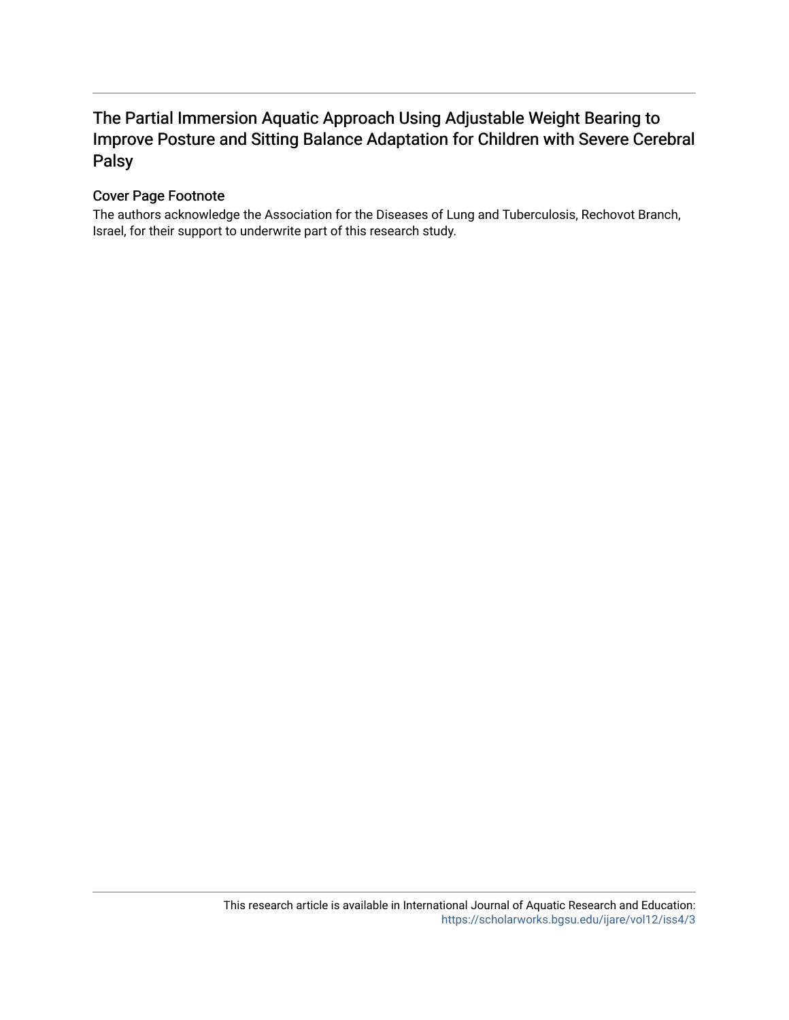# The Partial Immersion Aquatic Approach Using Adjustable Weight Bearing to Improve Posture and Sitting Balance Adaptation for Children with Severe Cerebral Palsy

# Cover Page Footnote

The authors acknowledge the Association for the Diseases of Lung and Tuberculosis, Rechovot Branch, Israel, for their support to underwrite part of this research study.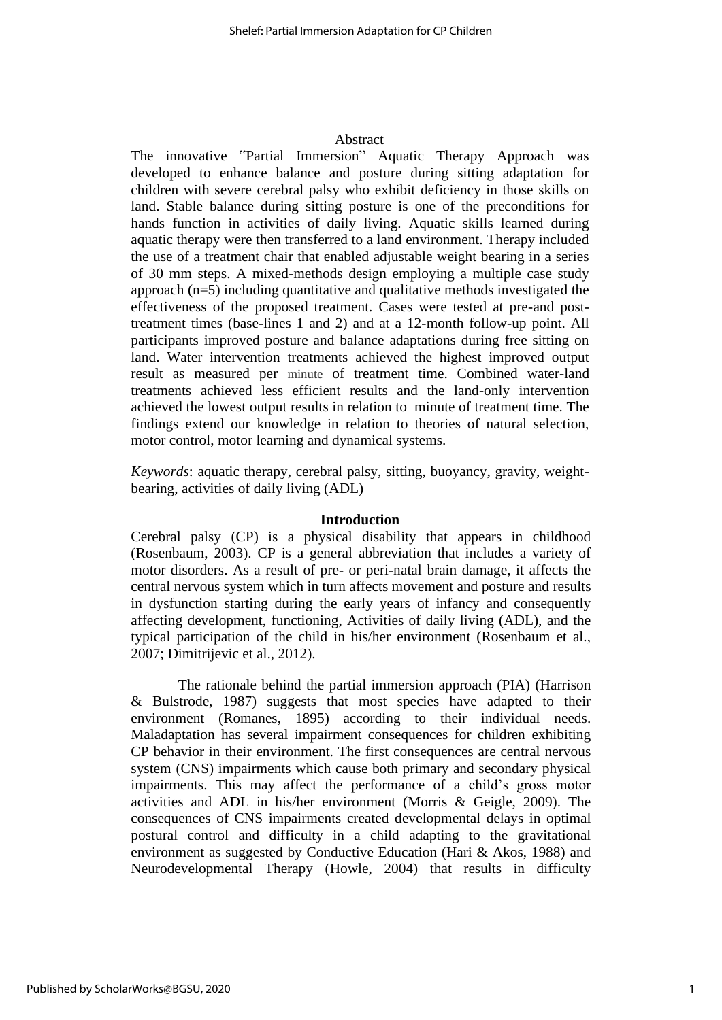#### Abstract

The innovative "Partial Immersion" Aquatic Therapy Approach was developed to enhance balance and posture during sitting adaptation for children with severe cerebral palsy who exhibit deficiency in those skills on land. Stable balance during sitting posture is one of the preconditions for hands function in activities of daily living. Aquatic skills learned during aquatic therapy were then transferred to a land environment. Therapy included the use of a treatment chair that enabled adjustable weight bearing in a series of 30 mm steps. A mixed-methods design employing a multiple case study approach (n=5) including quantitative and qualitative methods investigated the effectiveness of the proposed treatment. Cases were tested at pre-and posttreatment times (base-lines 1 and 2) and at a 12-month follow-up point. All participants improved posture and balance adaptations during free sitting on land. Water intervention treatments achieved the highest improved output result as measured per minute of treatment time. Combined water-land treatments achieved less efficient results and the land-only intervention achieved the lowest output results in relation to minute of treatment time. The findings extend our knowledge in relation to theories of natural selection, motor control, motor learning and dynamical systems.

*Keywords*: aquatic therapy, cerebral palsy, sitting, buoyancy, gravity, weightbearing, activities of daily living (ADL)

#### **Introduction**

Cerebral palsy (CP) is a physical disability that appears in childhood (Rosenbaum, 2003). CP is a general abbreviation that includes a variety of motor disorders. As a result of pre- or peri-natal brain damage, it affects the central nervous system which in turn affects movement and posture and results in dysfunction starting during the early years of infancy and consequently affecting development, functioning, Activities of daily living (ADL), and the typical participation of the child in his/her environment (Rosenbaum et al., 2007; Dimitrijevic et al., 2012).

 The rationale behind the partial immersion approach (PIA) (Harrison & Bulstrode, 1987) suggests that most species have adapted to their environment (Romanes, 1895) according to their individual needs. Maladaptation has several impairment consequences for children exhibiting CP behavior in their environment. The first consequences are central nervous system (CNS) impairments which cause both primary and secondary physical impairments. This may affect the performance of a child's gross motor activities and ADL in his/her environment (Morris & Geigle, 2009). The consequences of CNS impairments created developmental delays in optimal postural control and difficulty in a child adapting to the gravitational environment as suggested by Conductive Education (Hari & Akos, 1988) and Neurodevelopmental Therapy (Howle, 2004) that results in difficulty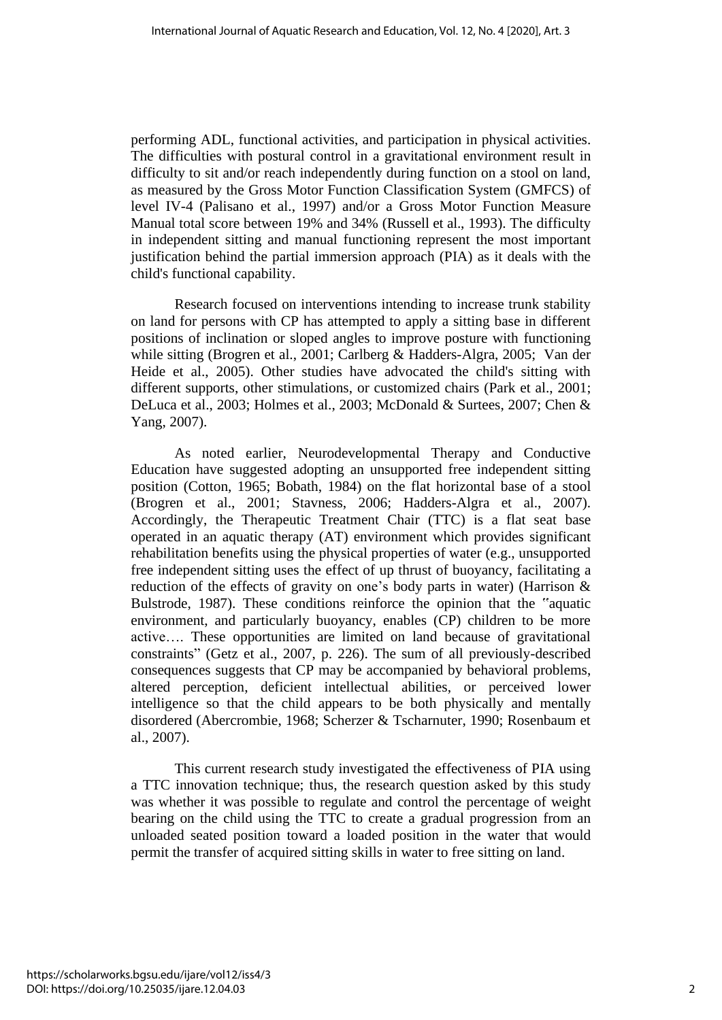performing ADL, functional activities, and participation in physical activities. The difficulties with postural control in a gravitational environment result in difficulty to sit and/or reach independently during function on a stool on land, as measured by the Gross Motor Function Classification System (GMFCS) of level IV-4 (Palisano et al., 1997) and/or a Gross Motor Function Measure Manual total score between 19% and 34% (Russell et al., 1993). The difficulty in independent sitting and manual functioning represent the most important justification behind the partial immersion approach (PIA) as it deals with the child's functional capability.

Research focused on interventions intending to increase trunk stability on land for persons with CP has attempted to apply a sitting base in different positions of inclination or sloped angles to improve posture with functioning while sitting (Brogren et al., 2001; Carlberg & Hadders-Algra, 2005; Van der Heide et al., 2005). Other studies have advocated the child's sitting with different supports, other stimulations, or customized chairs (Park et al., 2001; DeLuca et al., 2003; Holmes et al., 2003; McDonald & Surtees, 2007; Chen & Yang, 2007).

As noted earlier, Neurodevelopmental Therapy and Conductive Education have suggested adopting an unsupported free independent sitting position (Cotton, 1965; Bobath, 1984) on the flat horizontal base of a stool (Brogren et al., 2001; Stavness, 2006; Hadders-Algra et al., 2007). Accordingly, the Therapeutic Treatment Chair (TTC) is a flat seat base operated in an aquatic therapy (AT) environment which provides significant rehabilitation benefits using the physical properties of water (e.g., unsupported free independent sitting uses the effect of up thrust of buoyancy, facilitating a reduction of the effects of gravity on one's body parts in water) (Harrison & Bulstrode, 1987). These conditions reinforce the opinion that the "aquatic environment, and particularly buoyancy, enables (CP) children to be more active…. These opportunities are limited on land because of gravitational constraints" (Getz et al., 2007, p. 226). The sum of all previously-described consequences suggests that CP may be accompanied by behavioral problems, altered perception, deficient intellectual abilities, or perceived lower intelligence so that the child appears to be both physically and mentally disordered (Abercrombie, 1968; Scherzer & Tscharnuter, 1990; Rosenbaum et al., 2007).

This current research study investigated the effectiveness of PIA using a TTC innovation technique; thus, the research question asked by this study was whether it was possible to regulate and control the percentage of weight bearing on the child using the TTC to create a gradual progression from an unloaded seated position toward a loaded position in the water that would permit the transfer of acquired sitting skills in water to free sitting on land.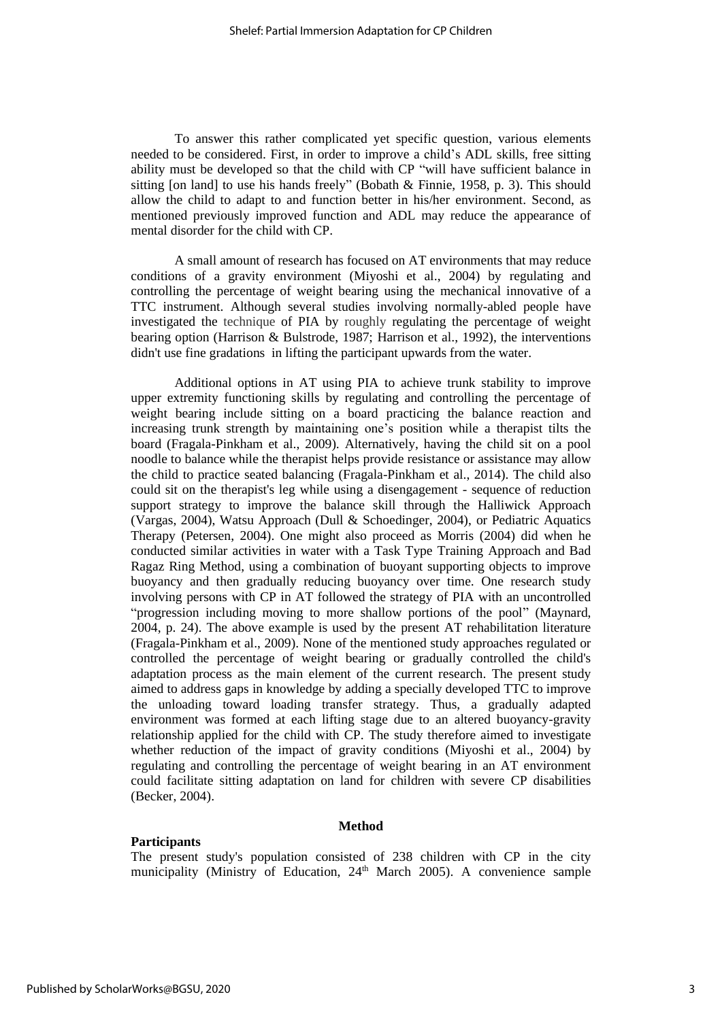To answer this rather complicated yet specific question, various elements needed to be considered. First, in order to improve a child's ADL skills, free sitting ability must be developed so that the child with CP "will have sufficient balance in sitting [on land] to use his hands freely" (Bobath & Finnie, 1958, p. 3). This should allow the child to adapt to and function better in his/her environment. Second, as mentioned previously improved function and ADL may reduce the appearance of mental disorder for the child with CP.

A small amount of research has focused on AT environments that may reduce conditions of a gravity environment (Miyoshi et al., 2004) by regulating and controlling the percentage of weight bearing using the mechanical innovative of a TTC instrument. Although several studies involving normally-abled people have investigated the technique of PIA by roughly regulating the percentage of weight bearing option (Harrison & Bulstrode, 1987; Harrison et al., 1992), the interventions didn't use fine gradations in lifting the participant upwards from the water.

Additional options in AT using PIA to achieve trunk stability to improve upper extremity functioning skills by regulating and controlling the percentage of weight bearing include sitting on a board practicing the balance reaction and increasing trunk strength by maintaining one's position while a therapist tilts the board (Fragala-Pinkham et al., 2009). Alternatively, having the child sit on a pool noodle to balance while the therapist helps provide resistance or assistance may allow the child to practice seated balancing (Fragala-Pinkham et al., 2014). The child also could sit on the therapist's leg while using a disengagement - sequence of reduction support strategy to improve the balance skill through the Halliwick Approach (Vargas, 2004), Watsu Approach (Dull & Schoedinger, 2004), or Pediatric Aquatics Therapy (Petersen, 2004). One might also proceed as Morris (2004) did when he conducted similar activities in water with a Task Type Training Approach and Bad Ragaz Ring Method, using a combination of buoyant supporting objects to improve buoyancy and then gradually reducing buoyancy over time. One research study involving persons with CP in AT followed the strategy of PIA with an uncontrolled "progression including moving to more shallow portions of the pool" (Maynard, 2004, p. 24). The above example is used by the present AT rehabilitation literature (Fragala-Pinkham et al., 2009). None of the mentioned study approaches regulated or controlled the percentage of weight bearing or gradually controlled the child's adaptation process as the main element of the current research. The present study aimed to address gaps in knowledge by adding a specially developed TTC to improve the unloading toward loading transfer strategy. Thus, a gradually adapted environment was formed at each lifting stage due to an altered buoyancy-gravity relationship applied for the child with CP. The study therefore aimed to investigate whether reduction of the impact of gravity conditions (Miyoshi et al., 2004) by regulating and controlling the percentage of weight bearing in an AT environment could facilitate sitting adaptation on land for children with severe CP disabilities (Becker, 2004).

#### **Method**

#### **Participants**

The present study's population consisted of 238 children with CP in the city municipality (Ministry of Education,  $24<sup>th</sup>$  March 2005). A convenience sample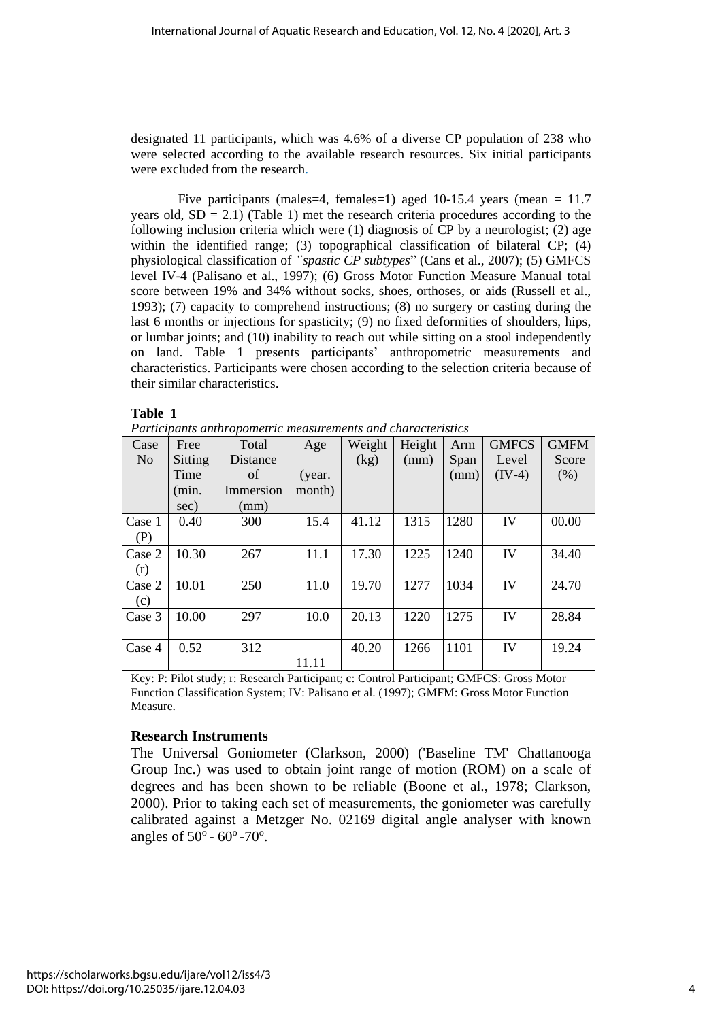designated 11 participants, which was 4.6% of a diverse CP population of 238 who were selected according to the available research resources. Six initial participants were excluded from the research.

Five participants (males=4, females=1) aged 10-15.4 years (mean =  $11.7$ ) years old,  $SD = 2.1$ ) (Table 1) met the research criteria procedures according to the following inclusion criteria which were (1) diagnosis of CP by a neurologist; (2) age within the identified range; (3) topographical classification of bilateral CP; (4) physiological classification of *"spastic CP subtypes*" (Cans et al., 2007); (5) GMFCS level IV-4 (Palisano et al., 1997); (6) Gross Motor Function Measure Manual total score between 19% and 34% without socks, shoes, orthoses, or aids (Russell et al., 1993); (7) capacity to comprehend instructions; (8) no surgery or casting during the last 6 months or injections for spasticity; (9) no fixed deformities of shoulders, hips, or lumbar joints; and (10) inability to reach out while sitting on a stool independently on land. Table 1 presents participants' anthropometric measurements and characteristics. Participants were chosen according to the selection criteria because of their similar characteristics.

#### **Table 1**

| Case           | Free    | Total     | Age    | Weight | Height | Arm  | <b>GMFCS</b> | <b>GMFM</b> |
|----------------|---------|-----------|--------|--------|--------|------|--------------|-------------|
| N <sub>o</sub> | Sitting | Distance  |        | (kg)   | (mm)   | Span | Level        | Score       |
|                | Time    | of        | (year. |        |        | (mm) | $(IV-4)$     | (% )        |
|                | (min.   | Immersion | month) |        |        |      |              |             |
|                | sec)    | (mm)      |        |        |        |      |              |             |
| Case 1         | 0.40    | 300       | 15.4   | 41.12  | 1315   | 1280 | IV           | 00.00       |
| (P)            |         |           |        |        |        |      |              |             |
| Case 2         | 10.30   | 267       | 11.1   | 17.30  | 1225   | 1240 | IV           | 34.40       |
| (r)            |         |           |        |        |        |      |              |             |
| Case 2         | 10.01   | 250       | 11.0   | 19.70  | 1277   | 1034 | IV           | 24.70       |
| (c)            |         |           |        |        |        |      |              |             |
| Case 3         | 10.00   | 297       | 10.0   | 20.13  | 1220   | 1275 | IV           | 28.84       |
|                |         |           |        |        |        |      |              |             |
| Case 4         | 0.52    | 312       |        | 40.20  | 1266   | 1101 | IV           | 19.24       |
|                |         |           | 11.11  |        |        |      |              |             |

Key: P: Pilot study; r: Research Participant; c: Control Participant; GMFCS: Gross Motor Function Classification System; IV: Palisano et al. (1997); GMFM: Gross Motor Function Measure.

#### **Research Instruments**

The Universal Goniometer (Clarkson, 2000) ('Baseline TM' Chattanooga Group Inc.) was used to obtain joint range of motion (ROM) on a scale of degrees and has been shown to be reliable (Boone et al., 1978; Clarkson, 2000). Prior to taking each set of measurements, the goniometer was carefully calibrated against a Metzger No. 02169 digital angle analyser with known angles of  $50^{\circ}$  -  $60^{\circ}$  -70<sup>o</sup>.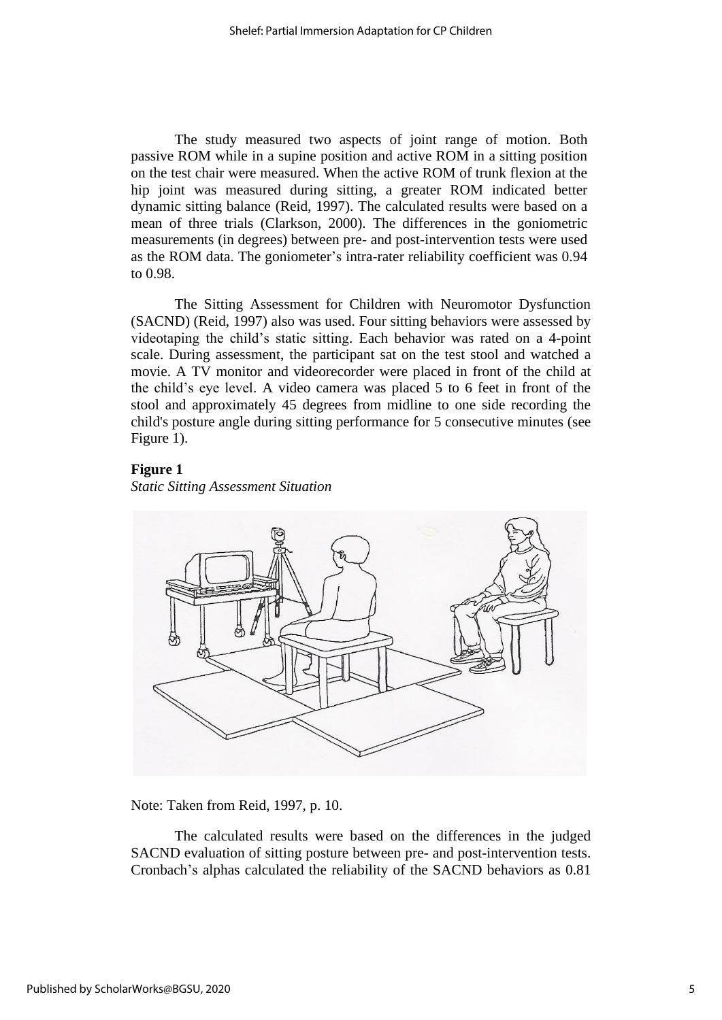The study measured two aspects of joint range of motion. Both passive ROM while in a supine position and active ROM in a sitting position on the test chair were measured. When the active ROM of trunk flexion at the hip joint was measured during sitting, a greater ROM indicated better dynamic sitting balance (Reid, 1997). The calculated results were based on a mean of three trials (Clarkson, 2000). The differences in the goniometric measurements (in degrees) between pre- and post-intervention tests were used as the ROM data. The goniometer's intra-rater reliability coefficient was 0.94 to 0.98.

The Sitting Assessment for Children with Neuromotor Dysfunction (SACND) (Reid, 1997) also was used. Four sitting behaviors were assessed by videotaping the child's static sitting. Each behavior was rated on a 4-point scale. During assessment, the participant sat on the test stool and watched a movie. A TV monitor and videorecorder were placed in front of the child at the child's eye level. A video camera was placed 5 to 6 feet in front of the stool and approximately 45 degrees from midline to one side recording the child's posture angle during sitting performance for 5 consecutive minutes (see Figure 1).

### **Figure 1**

*Static Sitting Assessment Situation*



Note: Taken from Reid, 1997, p. 10.

The calculated results were based on the differences in the judged SACND evaluation of sitting posture between pre- and post-intervention tests. Cronbach's alphas calculated the reliability of the SACND behaviors as 0.81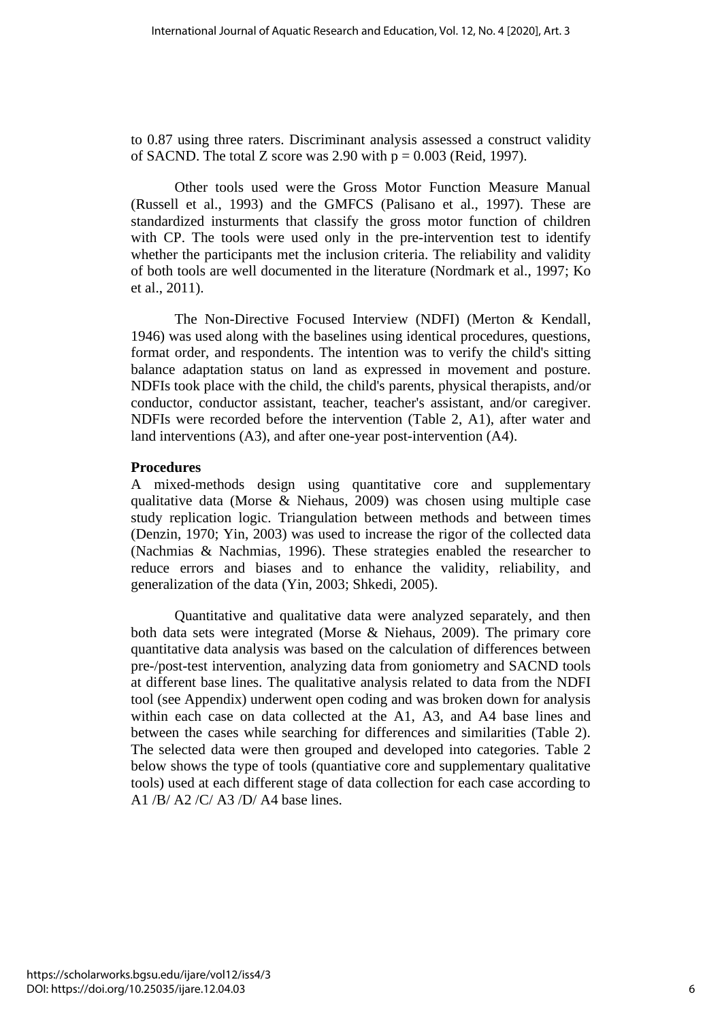to 0.87 using three raters. Discriminant analysis assessed a construct validity of SACND. The total Z score was  $2.90$  with  $p = 0.003$  (Reid, 1997).

Other tools used were the Gross Motor Function Measure Manual (Russell et al., 1993) and the GMFCS (Palisano et al., 1997). These are standardized insturments that classify the gross motor function of children with CP. The tools were used only in the pre-intervention test to identify whether the participants met the inclusion criteria. The reliability and validity of both tools are well documented in the literature (Nordmark et al., 1997; Ko et al., 2011).

The Non-Directive Focused Interview (NDFI) (Merton & Kendall, 1946) was used along with the baselines using identical procedures, questions, format order, and respondents. The intention was to verify the child's sitting balance adaptation status on land as expressed in movement and posture. NDFIs took place with the child, the child's parents, physical therapists, and/or conductor, conductor assistant, teacher, teacher's assistant, and/or caregiver. NDFIs were recorded before the intervention (Table 2, A1), after water and land interventions (A3), and after one-year post-intervention (A4).

### **Procedures**

A mixed-methods design using quantitative core and supplementary qualitative data (Morse & Niehaus, 2009) was chosen using multiple case study replication logic. Triangulation between methods and between times (Denzin, 1970; Yin, 2003) was used to increase the rigor of the collected data (Nachmias & Nachmias, 1996). These strategies enabled the researcher to reduce errors and biases and to enhance the validity, reliability, and generalization of the data (Yin, 2003; Shkedi, 2005).

Quantitative and qualitative data were analyzed separately, and then both data sets were integrated (Morse & Niehaus, 2009). The primary core quantitative data analysis was based on the calculation of differences between pre-/post-test intervention, analyzing data from goniometry and SACND tools at different base lines. The qualitative analysis related to data from the NDFI tool (see Appendix) underwent open coding and was broken down for analysis within each case on data collected at the A1, A3, and A4 base lines and between the cases while searching for differences and similarities (Table 2). The selected data were then grouped and developed into categories. Table 2 below shows the type of tools (quantiative core and supplementary qualitative tools) used at each different stage of data collection for each case according to A1/B/ A2/C/ A3/D/ A4 base lines.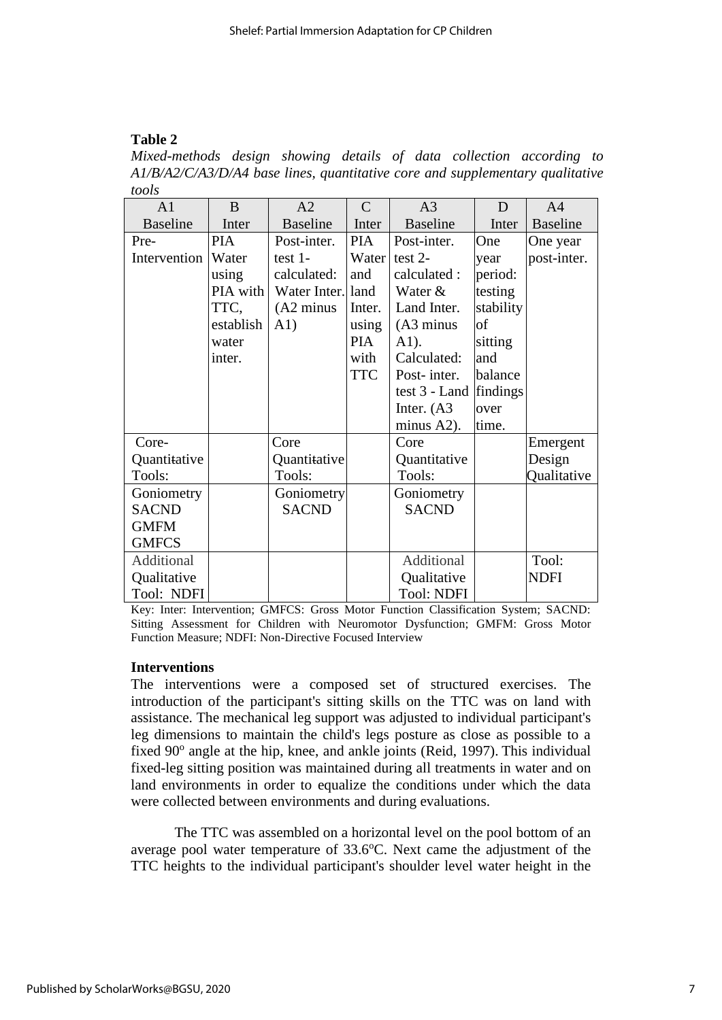# **Table 2**

*Mixed-methods design showing details of data collection according to A1/B/A2/C/A3/D/A4 base lines, quantitative core and supplementary qualitative tools*

| A <sub>1</sub>    | B          | A2                   | $\mathcal{C}$ | A <sub>3</sub>       | D         | A <sub>4</sub>  |
|-------------------|------------|----------------------|---------------|----------------------|-----------|-----------------|
| <b>Baseline</b>   | Inter      | <b>Baseline</b>      | Inter         | <b>Baseline</b>      | Inter     | <b>Baseline</b> |
| Pre-              | <b>PIA</b> | Post-inter.          | <b>PIA</b>    | Post-inter.          | One       | One year        |
| Intervention      | Water      | test $1-$            | Water         | test $2-$            | year      | post-inter.     |
|                   | using      | calculated:          | and           | calculated :         | period:   |                 |
|                   | PIA with   | Water Inter.         | land          | Water $&$            | testing   |                 |
|                   | TTC,       | $(A2 \text{ minus})$ | Inter.        | Land Inter.          | stability |                 |
|                   | establish  | A1)                  | using         | $(A3 \text{ minus})$ | of        |                 |
|                   | water      |                      | <b>PIA</b>    | $A1$ ).              | sitting   |                 |
|                   | inter.     |                      | with          | Calculated:          | and       |                 |
|                   |            |                      | <b>TTC</b>    | Post-inter.          | balance   |                 |
|                   |            |                      |               | test 3 - Land        | findings  |                 |
|                   |            |                      |               | Inter. $(A3)$        | over      |                 |
|                   |            |                      |               | minus A2).           | time.     |                 |
| Core-             |            | Core                 |               | Core                 |           | Emergent        |
| Quantitative      |            | Quantitative         |               | Quantitative         |           | Design          |
| Tools:            |            | Tools:               |               | Tools:               |           | Qualitative     |
| Goniometry        |            | Goniometry           |               | Goniometry           |           |                 |
| <b>SACND</b>      |            | <b>SACND</b>         |               | <b>SACND</b>         |           |                 |
| <b>GMFM</b>       |            |                      |               |                      |           |                 |
| <b>GMFCS</b>      |            |                      |               |                      |           |                 |
| <b>Additional</b> |            |                      |               | Additional           |           | Tool:           |
| Qualitative       |            |                      |               | Qualitative          |           | <b>NDFI</b>     |
| Tool: NDFI        |            |                      |               | <b>Tool: NDFI</b>    |           |                 |

Key: Inter: Intervention; GMFCS: Gross Motor Function Classification System; SACND: Sitting Assessment for Children with Neuromotor Dysfunction; GMFM: Gross Motor Function Measure; NDFI: Non-Directive Focused Interview

#### **Interventions**

The interventions were a composed set of structured exercises. The introduction of the participant's sitting skills on the TTC was on land with assistance. The mechanical leg support was adjusted to individual participant's leg dimensions to maintain the child's legs posture as close as possible to a fixed 90° angle at the hip, knee, and ankle joints (Reid, 1997). This individual fixed-leg sitting position was maintained during all treatments in water and on land environments in order to equalize the conditions under which the data were collected between environments and during evaluations.

The TTC was assembled on a horizontal level on the pool bottom of an average pool water temperature of 33.6°C. Next came the adjustment of the TTC heights to the individual participant's shoulder level water height in the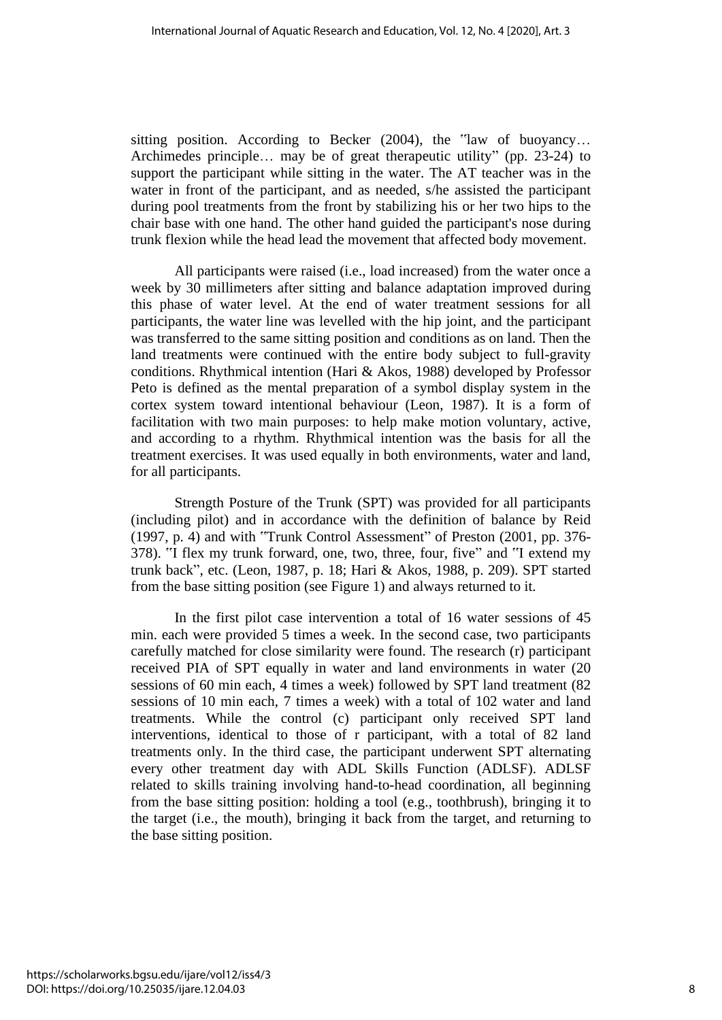sitting position. According to Becker (2004), the "law of buoyancy… Archimedes principle… may be of great therapeutic utility" (pp. 23-24) to support the participant while sitting in the water. The AT teacher was in the water in front of the participant, and as needed, s/he assisted the participant during pool treatments from the front by stabilizing his or her two hips to the chair base with one hand. The other hand guided the participant's nose during trunk flexion while the head lead the movement that affected body movement.

All participants were raised (i.e., load increased) from the water once a week by 30 millimeters after sitting and balance adaptation improved during this phase of water level. At the end of water treatment sessions for all participants, the water line was levelled with the hip joint, and the participant was transferred to the same sitting position and conditions as on land. Then the land treatments were continued with the entire body subject to full-gravity conditions. Rhythmical intention (Hari & Akos, 1988) developed by Professor Peto is defined as the mental preparation of a symbol display system in the cortex system toward intentional behaviour (Leon, 1987). It is a form of facilitation with two main purposes: to help make motion voluntary, active, and according to a rhythm. Rhythmical intention was the basis for all the treatment exercises. It was used equally in both environments, water and land, for all participants.

Strength Posture of the Trunk (SPT) was provided for all participants (including pilot) and in accordance with the definition of balance by Reid (1997, p. 4) and with "Trunk Control Assessment" of Preston (2001, pp. 376- 378). "I flex my trunk forward, one, two, three, four, five" and "I extend my trunk back", etc. (Leon, 1987, p. 18; Hari & Akos, 1988, p. 209). SPT started from the base sitting position (see Figure 1) and always returned to it.

In the first pilot case intervention a total of 16 water sessions of 45 min. each were provided 5 times a week. In the second case, two participants carefully matched for close similarity were found. The research (r) participant received PIA of SPT equally in water and land environments in water (20 sessions of 60 min each, 4 times a week) followed by SPT land treatment (82 sessions of 10 min each, 7 times a week) with a total of 102 water and land treatments. While the control (c) participant only received SPT land interventions, identical to those of r participant, with a total of 82 land treatments only. In the third case, the participant underwent SPT alternating every other treatment day with ADL Skills Function (ADLSF). ADLSF related to skills training involving hand-to-head coordination, all beginning from the base sitting position: holding a tool (e.g., toothbrush), bringing it to the target (i.e., the mouth), bringing it back from the target, and returning to the base sitting position.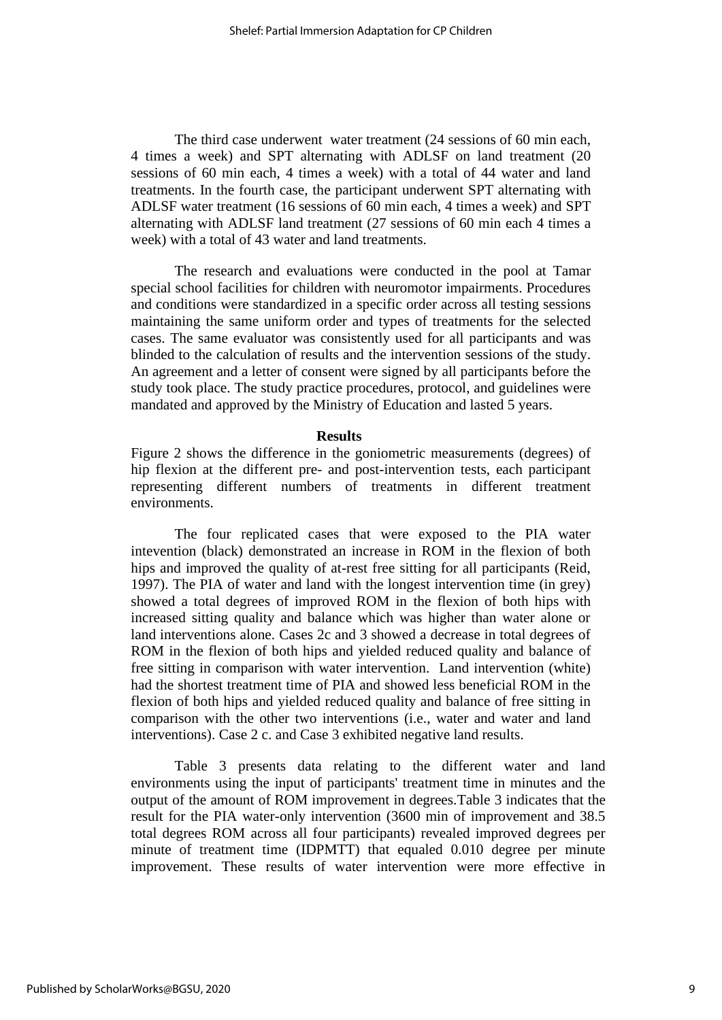The third case underwent water treatment (24 sessions of 60 min each, 4 times a week) and SPT alternating with ADLSF on land treatment (20 sessions of 60 min each, 4 times a week) with a total of 44 water and land treatments. In the fourth case, the participant underwent SPT alternating with ADLSF water treatment (16 sessions of 60 min each, 4 times a week) and SPT alternating with ADLSF land treatment (27 sessions of 60 min each 4 times a week) with a total of 43 water and land treatments.

The research and evaluations were conducted in the pool at Tamar special school facilities for children with neuromotor impairments. Procedures and conditions were standardized in a specific order across all testing sessions maintaining the same uniform order and types of treatments for the selected cases. The same evaluator was consistently used for all participants and was blinded to the calculation of results and the intervention sessions of the study. An agreement and a letter of consent were signed by all participants before the study took place. The study practice procedures, protocol, and guidelines were mandated and approved by the Ministry of Education and lasted 5 years.

#### **Results**

Figure 2 shows the difference in the goniometric measurements (degrees) of hip flexion at the different pre- and post-intervention tests, each participant representing different numbers of treatments in different treatment environments.

The four replicated cases that were exposed to the PIA water intevention (black) demonstrated an increase in ROM in the flexion of both hips and improved the quality of at-rest free sitting for all participants (Reid, 1997). The PIA of water and land with the longest intervention time (in grey) showed a total degrees of improved ROM in the flexion of both hips with increased sitting quality and balance which was higher than water alone or land interventions alone. Cases 2c and 3 showed a decrease in total degrees of ROM in the flexion of both hips and yielded reduced quality and balance of free sitting in comparison with water intervention. Land intervention (white) had the shortest treatment time of PIA and showed less beneficial ROM in the flexion of both hips and yielded reduced quality and balance of free sitting in comparison with the other two interventions (i.e., water and water and land interventions). Case 2 c. and Case 3 exhibited negative land results.

Table 3 presents data relating to the different water and land environments using the input of participants' treatment time in minutes and the output of the amount of ROM improvement in degrees.Table 3 indicates that the result for the PIA water-only intervention (3600 min of improvement and 38.5 total degrees ROM across all four participants) revealed improved degrees per minute of treatment time (IDPMTT) that equaled 0.010 degree per minute improvement. These results of water intervention were more effective in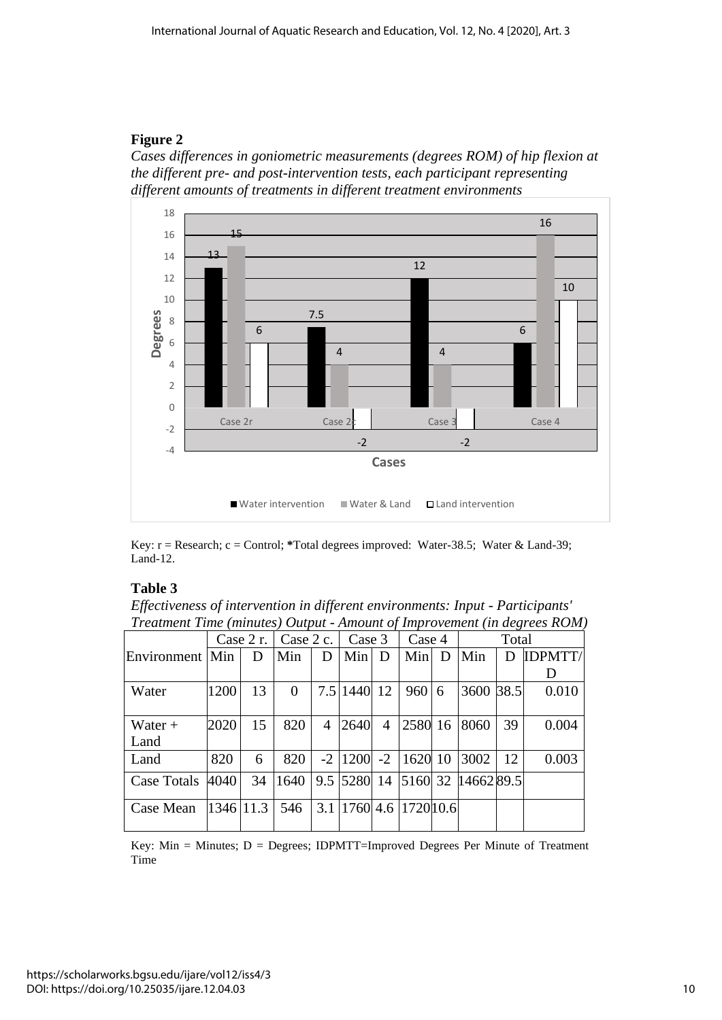# **Figure 2**

*Cases differences in goniometric measurements (degrees ROM) of hip flexion at the different pre- and post-intervention tests, each participant representing different amounts of treatments in different treatment environments*



Key: r = Research; c = Control; **\***Total degrees improved: Water-38.5; Water & Land-39; Land-12.

# **Table 3**

*Effectiveness of intervention in different environments: Input - Participants' Treatment Time (minutes) Output - Amount of Improvement (in degrees ROM)*

|                    | Case $2 r.$ Case $2 c.$ |    |      |   | Case 3      |   | Case 4                         |   | Treatment Time (manages) <i>Output</i> Timound of Improvement (at acxi ces ROM)<br>Total |      |                |
|--------------------|-------------------------|----|------|---|-------------|---|--------------------------------|---|------------------------------------------------------------------------------------------|------|----------------|
| Environment Min    |                         | D  | Min  | D | Min         | D | Min                            | D | Min                                                                                      | D    | <b>IDPMTT/</b> |
|                    |                         |    |      |   |             |   |                                |   |                                                                                          |      | Ð              |
| Water              | 1200                    | 13 | 0    |   | 7.5 1440 12 |   | 960                            | 6 | 3600                                                                                     | 38.5 | 0.010          |
|                    |                         |    |      |   |             |   |                                |   |                                                                                          |      |                |
| Water $+$          | 2020                    | 15 | 820  | 4 | 2640        | 4 | 2580 16                        |   | 8060                                                                                     | 39   | 0.004          |
| Land               |                         |    |      |   |             |   |                                |   |                                                                                          |      |                |
| Land               | 820                     | 6  | 820  |   |             |   | $-2$  1200 $-2$  1620 10       |   | 3002                                                                                     | 12   | 0.003          |
| Case Totals   4040 |                         | 34 | 1640 |   |             |   |                                |   | 9.5 5280 14 5160 32 14662 89.5                                                           |      |                |
| Case Mean          | $1346$ 11.3             |    | 546  |   |             |   | 3.1   1760   4.6   1720   10.6 |   |                                                                                          |      |                |

Key: Min = Minutes; D = Degrees; IDPMTT=Improved Degrees Per Minute of Treatment Time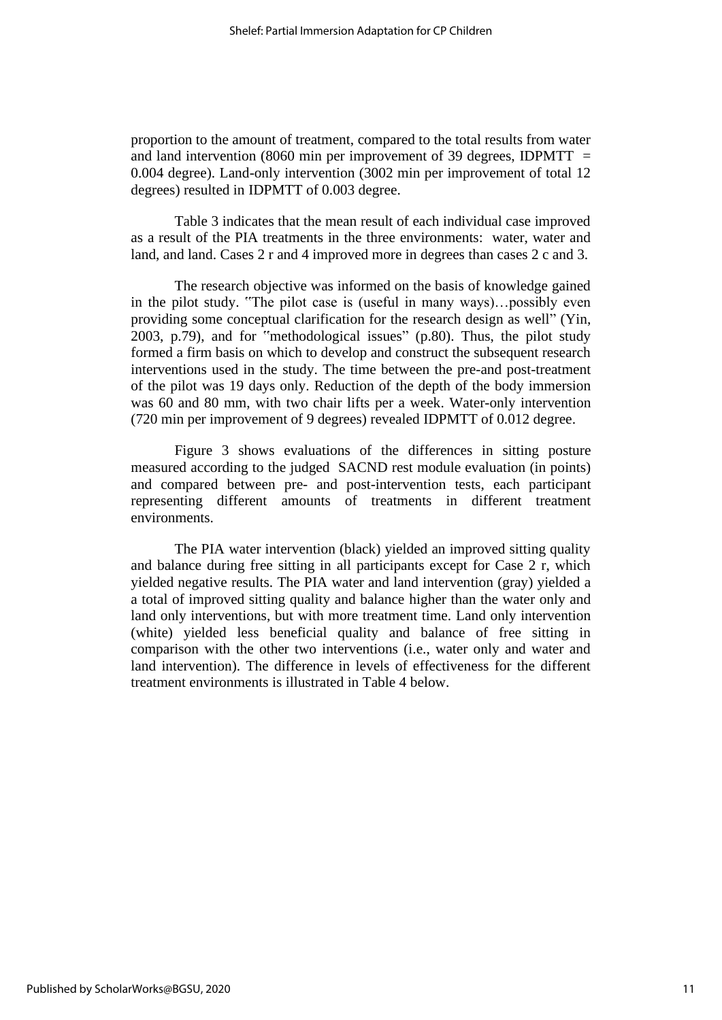proportion to the amount of treatment, compared to the total results from water and land intervention (8060 min per improvement of 39 degrees, IDPMTT  $=$ 0.004 degree). Land-only intervention (3002 min per improvement of total 12 degrees) resulted in IDPMTT of 0.003 degree.

Table 3 indicates that the mean result of each individual case improved as a result of the PIA treatments in the three environments: water, water and land, and land. Cases 2 r and 4 improved more in degrees than cases 2 c and 3.

The research objective was informed on the basis of knowledge gained in the pilot study. "The pilot case is (useful in many ways)…possibly even providing some conceptual clarification for the research design as well" (Yin, 2003, p.79), and for "methodological issues" (p.80). Thus, the pilot study formed a firm basis on which to develop and construct the subsequent research interventions used in the study. The time between the pre-and post-treatment of the pilot was 19 days only. Reduction of the depth of the body immersion was 60 and 80 mm, with two chair lifts per a week. Water-only intervention (720 min per improvement of 9 degrees) revealed IDPMTT of 0.012 degree.

Figure 3 shows evaluations of the differences in sitting posture measured according to the judged SACND rest module evaluation (in points) and compared between pre- and post-intervention tests, each participant representing different amounts of treatments in different treatment environments.

The PIA water intervention (black) yielded an improved sitting quality and balance during free sitting in all participants except for Case 2 r, which yielded negative results. The PIA water and land intervention (gray) yielded a a total of improved sitting quality and balance higher than the water only and land only interventions, but with more treatment time. Land only intervention (white) yielded less beneficial quality and balance of free sitting in comparison with the other two interventions (i.e., water only and water and land intervention). The difference in levels of effectiveness for the different treatment environments is illustrated in Table 4 below.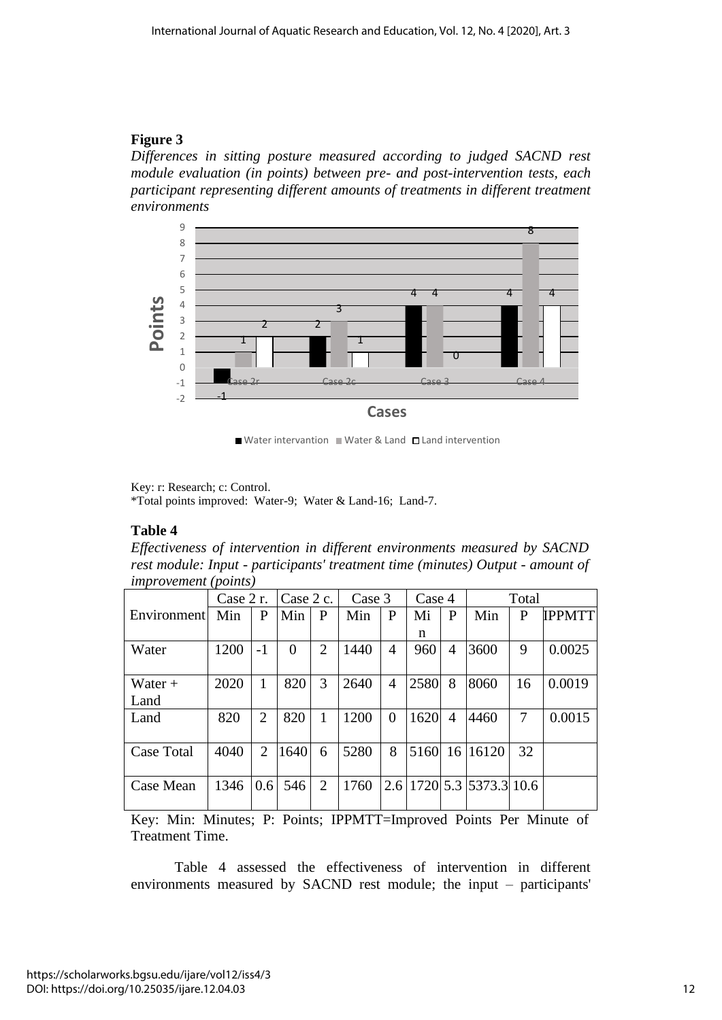# **Figure 3**

*Differences in sitting posture measured according to judged SACND rest module evaluation (in points) between pre- and post-intervention tests, each participant representing different amounts of treatments in different treatment environments*



■ Water intervantion ■ Water & Land □ Land intervention

Key: r: Research; c: Control. \*Total points improved: Water-9; Water & Land-16; Land-7.

# **Table 4**

*Effectiveness of intervention in different environments measured by SACND rest module: Input - participants' treatment time (minutes) Output - amount of improvement (points)*

|             | Case 2 r. |                | Case 2 c. |                | Case 3 |                | Case 4 |                | Total                                          |    |               |
|-------------|-----------|----------------|-----------|----------------|--------|----------------|--------|----------------|------------------------------------------------|----|---------------|
| Environment | Min       | P              | Min       | P              | Min    | $\mathbf{P}$   | Mi     | P              | Min                                            | P  | <b>IPPMTT</b> |
|             |           |                |           |                |        |                | n      |                |                                                |    |               |
| Water       | 1200      | $-1$           | $\Omega$  | $\overline{2}$ | 1440   | 4              | 960    | $\overline{4}$ | 3600                                           | 9  | 0.0025        |
|             |           |                |           |                |        |                |        |                |                                                |    |               |
| Water $+$   | 2020      | 1              | 820       | 3              | 2640   | 4              | 2580   | 8              | 8060                                           | 16 | 0.0019        |
| Land        |           |                |           |                |        |                |        |                |                                                |    |               |
| Land        | 820       | $\overline{2}$ | 820       | 1              | 1200   | $\overline{0}$ | 1620   | 4              | 4460                                           | 7  | 0.0015        |
|             |           |                |           |                |        |                |        |                |                                                |    |               |
| Case Total  | 4040      | $\overline{2}$ | 1640      | 6              | 5280   | 8              | 5160   | 16             | 16120                                          | 32 |               |
|             |           |                |           |                |        |                |        |                |                                                |    |               |
| Case Mean   | 1346      | 0.6            | 546       | 2              | 1760   |                |        |                | $2.6 \mid 1720 \mid 5.3 \mid 5373.3 \mid 10.6$ |    |               |
|             |           |                |           |                |        |                |        |                |                                                |    |               |

Key: Min: Minutes; P: Points; IPPMTT=Improved Points Per Minute of Treatment Time.

Table 4 assessed the effectiveness of intervention in different environments measured by SACND rest module; the input – participants'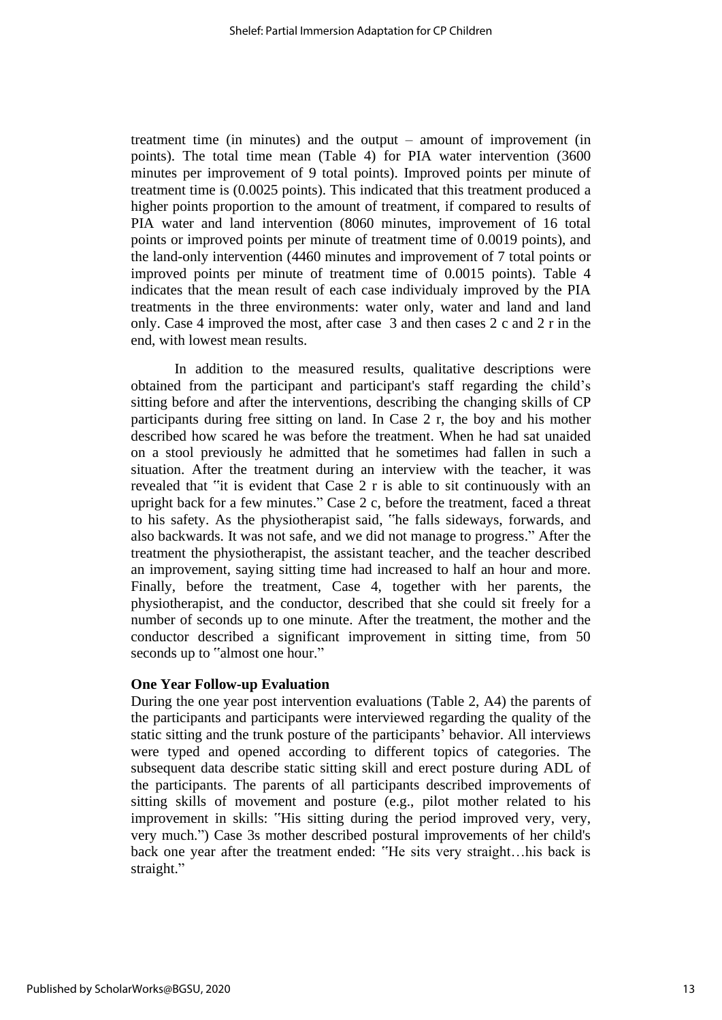treatment time (in minutes) and the output – amount of improvement (in points). The total time mean (Table 4) for PIA water intervention (3600 minutes per improvement of 9 total points). Improved points per minute of treatment time is (0.0025 points). This indicated that this treatment produced a higher points proportion to the amount of treatment, if compared to results of PIA water and land intervention (8060 minutes, improvement of 16 total points or improved points per minute of treatment time of 0.0019 points), and the land-only intervention (4460 minutes and improvement of 7 total points or improved points per minute of treatment time of 0.0015 points). Table 4 indicates that the mean result of each case individualy improved by the PIA treatments in the three environments: water only, water and land and land only. Case 4 improved the most, after case 3 and then cases 2 c and 2 r in the end, with lowest mean results.

In addition to the measured results, qualitative descriptions were obtained from the participant and participant's staff regarding the child's sitting before and after the interventions, describing the changing skills of CP participants during free sitting on land. In Case 2 r, the boy and his mother described how scared he was before the treatment. When he had sat unaided on a stool previously he admitted that he sometimes had fallen in such a situation. After the treatment during an interview with the teacher, it was revealed that "it is evident that Case 2 r is able to sit continuously with an upright back for a few minutes." Case 2 c, before the treatment, faced a threat to his safety. As the physiotherapist said, "he falls sideways, forwards, and also backwards. It was not safe, and we did not manage to progress." After the treatment the physiotherapist, the assistant teacher, and the teacher described an improvement, saying sitting time had increased to half an hour and more. Finally, before the treatment, Case 4, together with her parents, the physiotherapist, and the conductor, described that she could sit freely for a number of seconds up to one minute. After the treatment, the mother and the conductor described a significant improvement in sitting time, from 50 seconds up to "almost one hour."

#### **One Year Follow-up Evaluation**

During the one year post intervention evaluations (Table 2, A4) the parents of the participants and participants were interviewed regarding the quality of the static sitting and the trunk posture of the participants' behavior. All interviews were typed and opened according to different topics of categories. The subsequent data describe static sitting skill and erect posture during ADL of the participants. The parents of all participants described improvements of sitting skills of movement and posture (e.g., pilot mother related to his improvement in skills: "His sitting during the period improved very, very, very much.") Case 3s mother described postural improvements of her child's back one year after the treatment ended: "He sits very straight…his back is straight."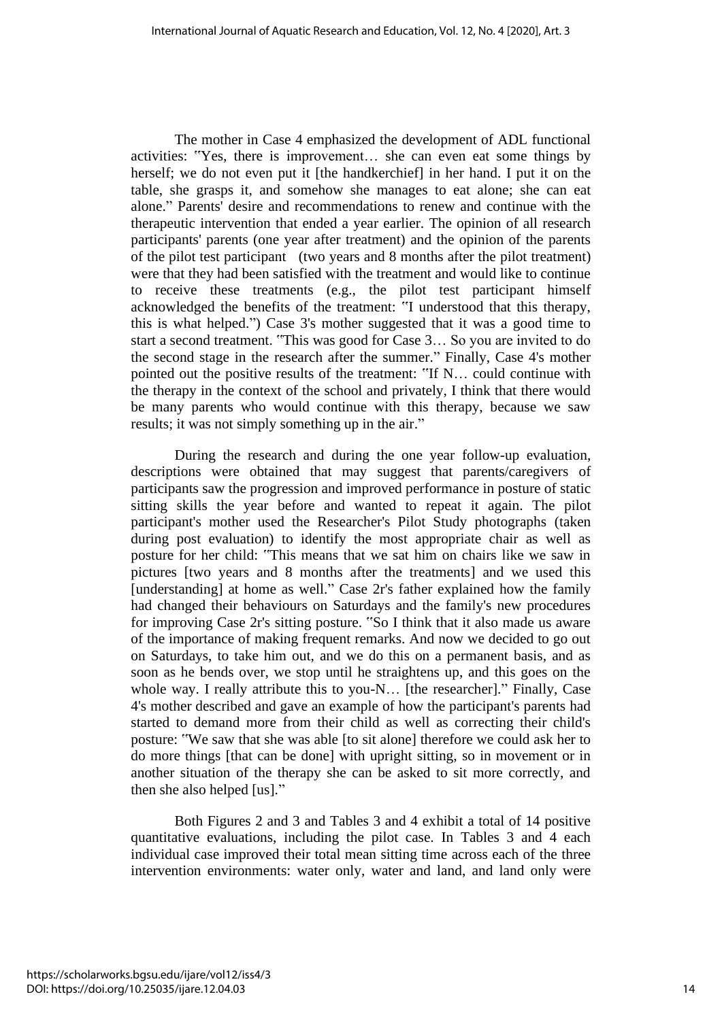The mother in Case 4 emphasized the development of ADL functional activities: "Yes, there is improvement… she can even eat some things by herself; we do not even put it [the handkerchief] in her hand. I put it on the table, she grasps it, and somehow she manages to eat alone; she can eat alone." Parents' desire and recommendations to renew and continue with the therapeutic intervention that ended a year earlier. The opinion of all research participants' parents (one year after treatment) and the opinion of the parents of the pilot test participant (two years and 8 months after the pilot treatment) were that they had been satisfied with the treatment and would like to continue to receive these treatments (e.g., the pilot test participant himself acknowledged the benefits of the treatment: "I understood that this therapy, this is what helped.") Case 3's mother suggested that it was a good time to start a second treatment. "This was good for Case 3… So you are invited to do the second stage in the research after the summer." Finally, Case 4's mother pointed out the positive results of the treatment: "If N… could continue with the therapy in the context of the school and privately, I think that there would be many parents who would continue with this therapy, because we saw results; it was not simply something up in the air."

During the research and during the one year follow-up evaluation, descriptions were obtained that may suggest that parents/caregivers of participants saw the progression and improved performance in posture of static sitting skills the year before and wanted to repeat it again. The pilot participant's mother used the Researcher's Pilot Study photographs (taken during post evaluation) to identify the most appropriate chair as well as posture for her child: "This means that we sat him on chairs like we saw in pictures [two years and 8 months after the treatments] and we used this [understanding] at home as well." Case 2r's father explained how the family had changed their behaviours on Saturdays and the family's new procedures for improving Case 2r's sitting posture. "So I think that it also made us aware of the importance of making frequent remarks. And now we decided to go out on Saturdays, to take him out, and we do this on a permanent basis, and as soon as he bends over, we stop until he straightens up, and this goes on the whole way. I really attribute this to you-N... [the researcher]." Finally, Case 4's mother described and gave an example of how the participant's parents had started to demand more from their child as well as correcting their child's posture: "We saw that she was able [to sit alone] therefore we could ask her to do more things [that can be done] with upright sitting, so in movement or in another situation of the therapy she can be asked to sit more correctly, and then she also helped [us]."

Both Figures 2 and 3 and Tables 3 and 4 exhibit a total of 14 positive quantitative evaluations, including the pilot case. In Tables 3 and 4 each individual case improved their total mean sitting time across each of the three intervention environments: water only, water and land, and land only were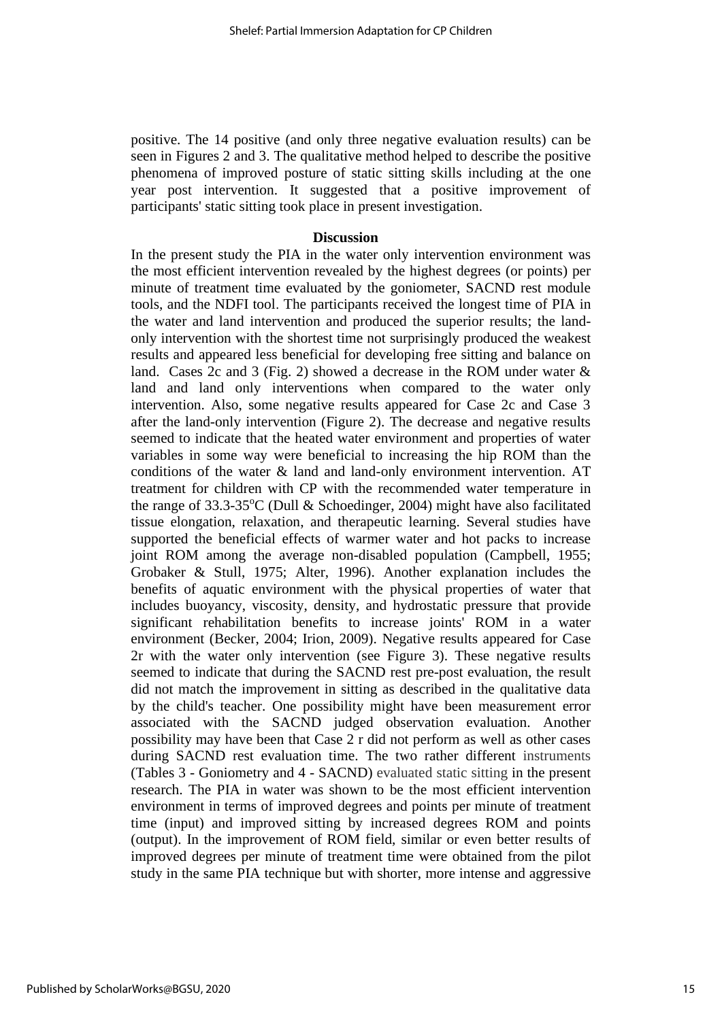positive. The 14 positive (and only three negative evaluation results) can be seen in Figures 2 and 3. The qualitative method helped to describe the positive phenomena of improved posture of static sitting skills including at the one year post intervention. It suggested that a positive improvement of participants' static sitting took place in present investigation.

#### **Discussion**

In the present study the PIA in the water only intervention environment was the most efficient intervention revealed by the highest degrees (or points) per minute of treatment time evaluated by the goniometer, SACND rest module tools, and the NDFI tool. The participants received the longest time of PIA in the water and land intervention and produced the superior results; the landonly intervention with the shortest time not surprisingly produced the weakest results and appeared less beneficial for developing free sitting and balance on land. Cases 2c and 3 (Fig. 2) showed a decrease in the ROM under water & land and land only interventions when compared to the water only intervention. Also, some negative results appeared for Case 2c and Case 3 after the land-only intervention (Figure 2). The decrease and negative results seemed to indicate that the heated water environment and properties of water variables in some way were beneficial to increasing the hip ROM than the conditions of the water & land and land-only environment intervention. AT treatment for children with CP with the recommended water temperature in the range of  $33.3-35^{\circ}$ C (Dull & Schoedinger, 2004) might have also facilitated tissue elongation, relaxation, and therapeutic learning. Several studies have supported the beneficial effects of warmer water and hot packs to increase joint ROM among the average non-disabled population (Campbell, 1955; Grobaker & Stull, 1975; Alter, 1996). Another explanation includes the benefits of aquatic environment with the physical properties of water that includes buoyancy, viscosity, density, and hydrostatic pressure that provide significant rehabilitation benefits to increase joints' ROM in a water environment (Becker, 2004; Irion, 2009). Negative results appeared for Case 2r with the water only intervention (see Figure 3). These negative results seemed to indicate that during the SACND rest pre-post evaluation, the result did not match the improvement in sitting as described in the qualitative data by the child's teacher. One possibility might have been measurement error associated with the SACND judged observation evaluation. Another possibility may have been that Case 2 r did not perform as well as other cases during SACND rest evaluation time. The two rather different instruments (Tables 3 - Goniometry and 4 - SACND) evaluated static sitting in the present research. The PIA in water was shown to be the most efficient intervention environment in terms of improved degrees and points per minute of treatment time (input) and improved sitting by increased degrees ROM and points (output). In the improvement of ROM field, similar or even better results of improved degrees per minute of treatment time were obtained from the pilot study in the same PIA technique but with shorter, more intense and aggressive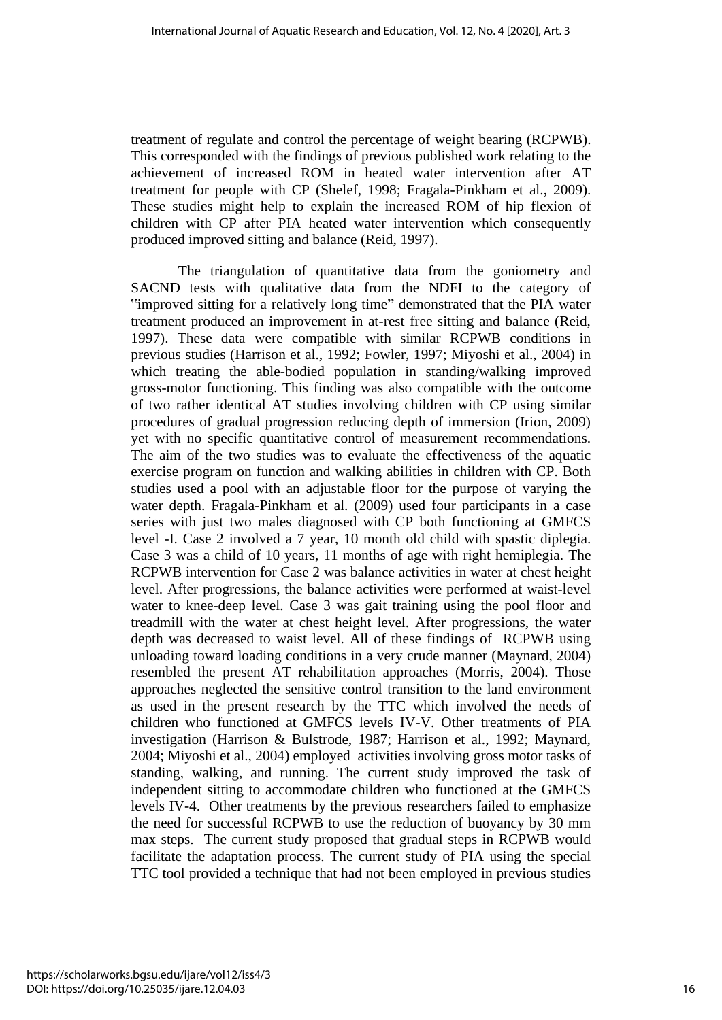treatment of regulate and control the percentage of weight bearing (RCPWB). This corresponded with the findings of previous published work relating to the achievement of increased ROM in heated water intervention after AT treatment for people with CP (Shelef, 1998; Fragala-Pinkham et al., 2009). These studies might help to explain the increased ROM of hip flexion of children with CP after PIA heated water intervention which consequently produced improved sitting and balance (Reid, 1997).

The triangulation of quantitative data from the goniometry and SACND tests with qualitative data from the NDFI to the category of "improved sitting for a relatively long time" demonstrated that the PIA water treatment produced an improvement in at-rest free sitting and balance (Reid, 1997). These data were compatible with similar RCPWB conditions in previous studies (Harrison et al., 1992; Fowler, 1997; Miyoshi et al., 2004) in which treating the able-bodied population in standing/walking improved gross-motor functioning. This finding was also compatible with the outcome of two rather identical AT studies involving children with CP using similar procedures of gradual progression reducing depth of immersion (Irion, 2009) yet with no specific quantitative control of measurement recommendations. The aim of the two studies was to evaluate the effectiveness of the aquatic exercise program on function and walking abilities in children with CP. Both studies used a pool with an adjustable floor for the purpose of varying the water depth. Fragala-Pinkham et al. (2009) used four participants in a case series with just two males diagnosed with CP both functioning at GMFCS level -I. Case 2 involved a 7 year, 10 month old child with spastic diplegia. Case 3 was a child of 10 years, 11 months of age with right hemiplegia. The RCPWB intervention for Case 2 was balance activities in water at chest height level. After progressions, the balance activities were performed at waist-level water to knee-deep level. Case 3 was gait training using the pool floor and treadmill with the water at chest height level. After progressions, the water depth was decreased to waist level. All of these findings of RCPWB using unloading toward loading conditions in a very crude manner (Maynard, 2004) resembled the present AT rehabilitation approaches (Morris, 2004). Those approaches neglected the sensitive control transition to the land environment as used in the present research by the TTC which involved the needs of children who functioned at GMFCS levels IV-V. Other treatments of PIA investigation (Harrison & Bulstrode, 1987; Harrison et al., 1992; Maynard, 2004; Miyoshi et al., 2004) employed activities involving gross motor tasks of standing, walking, and running. The current study improved the task of independent sitting to accommodate children who functioned at the GMFCS levels IV-4. Other treatments by the previous researchers failed to emphasize the need for successful RCPWB to use the reduction of buoyancy by 30 mm max steps. The current study proposed that gradual steps in RCPWB would facilitate the adaptation process. The current study of PIA using the special TTC tool provided a technique that had not been employed in previous studies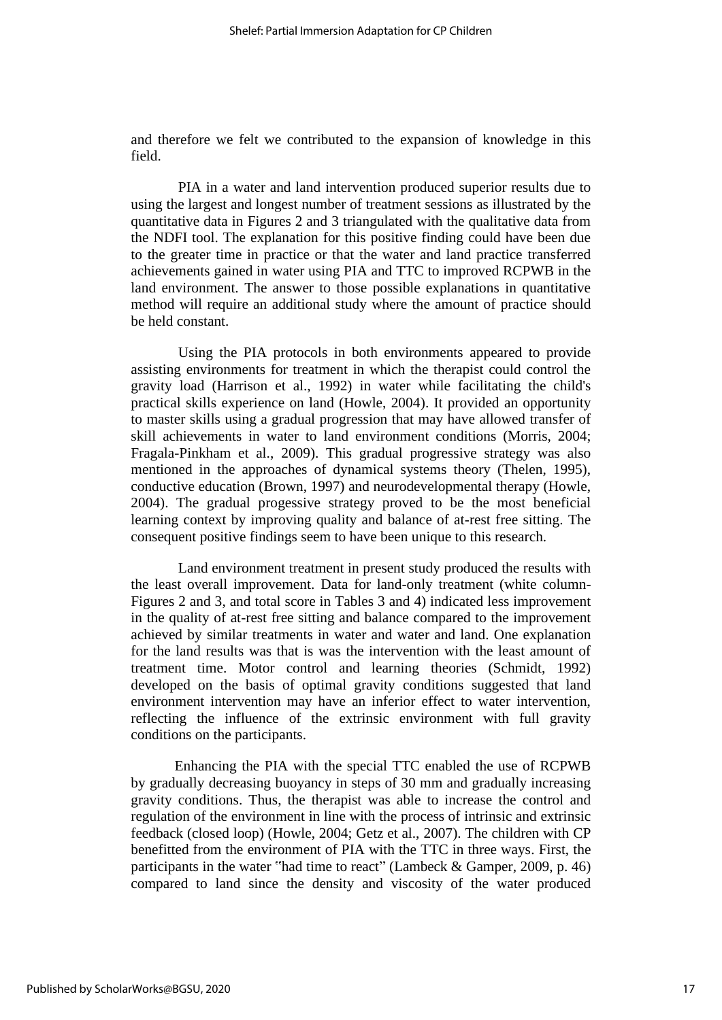and therefore we felt we contributed to the expansion of knowledge in this field.

PIA in a water and land intervention produced superior results due to using the largest and longest number of treatment sessions as illustrated by the quantitative data in Figures 2 and 3 triangulated with the qualitative data from the NDFI tool. The explanation for this positive finding could have been due to the greater time in practice or that the water and land practice transferred achievements gained in water using PIA and TTC to improved RCPWB in the land environment. The answer to those possible explanations in quantitative method will require an additional study where the amount of practice should be held constant.

Using the PIA protocols in both environments appeared to provide assisting environments for treatment in which the therapist could control the gravity load (Harrison et al., 1992) in water while facilitating the child's practical skills experience on land (Howle, 2004). It provided an opportunity to master skills using a gradual progression that may have allowed transfer of skill achievements in water to land environment conditions (Morris, 2004; Fragala-Pinkham et al., 2009). This gradual progressive strategy was also mentioned in the approaches of dynamical systems theory (Thelen, 1995), conductive education (Brown, 1997) and neurodevelopmental therapy (Howle, 2004). The gradual progessive strategy proved to be the most beneficial learning context by improving quality and balance of at-rest free sitting. The consequent positive findings seem to have been unique to this research.

Land environment treatment in present study produced the results with the least overall improvement. Data for land-only treatment (white column-Figures 2 and 3, and total score in Tables 3 and 4) indicated less improvement in the quality of at-rest free sitting and balance compared to the improvement achieved by similar treatments in water and water and land. One explanation for the land results was that is was the intervention with the least amount of treatment time. Motor control and learning theories (Schmidt, 1992) developed on the basis of optimal gravity conditions suggested that land environment intervention may have an inferior effect to water intervention, reflecting the influence of the extrinsic environment with full gravity conditions on the participants.

Enhancing the PIA with the special TTC enabled the use of RCPWB by gradually decreasing buoyancy in steps of 30 mm and gradually increasing gravity conditions. Thus, the therapist was able to increase the control and regulation of the environment in line with the process of intrinsic and extrinsic feedback (closed loop) (Howle, 2004; Getz et al., 2007). The children with CP benefitted from the environment of PIA with the TTC in three ways. First, the participants in the water "had time to react" (Lambeck & Gamper, 2009, p. 46) compared to land since the density and viscosity of the water produced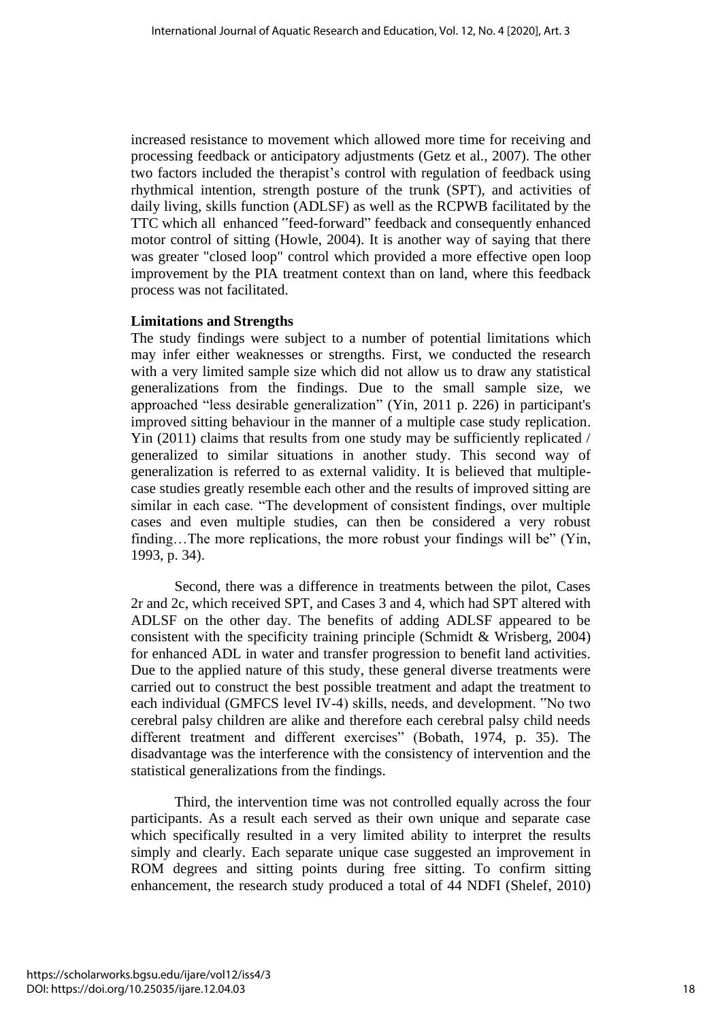increased resistance to movement which allowed more time for receiving and processing feedback or anticipatory adjustments (Getz et al., 2007). The other two factors included the therapist's control with regulation of feedback using rhythmical intention, strength posture of the trunk (SPT), and activities of daily living, skills function (ADLSF) as well as the RCPWB facilitated by the TTC which all enhanced "feed-forward" feedback and consequently enhanced motor control of sitting (Howle, 2004). It is another way of saying that there was greater "closed loop" control which provided a more effective open loop improvement by the PIA treatment context than on land, where this feedback process was not facilitated.

# **Limitations and Strengths**

The study findings were subject to a number of potential limitations which may infer either weaknesses or strengths. First, we conducted the research with a very limited sample size which did not allow us to draw any statistical generalizations from the findings. Due to the small sample size, we approached "less desirable generalization" (Yin, 2011 p. 226) in participant's improved sitting behaviour in the manner of a multiple case study replication. Yin (2011) claims that results from one study may be sufficiently replicated / generalized to similar situations in another study. This second way of generalization is referred to as external validity. It is believed that multiplecase studies greatly resemble each other and the results of improved sitting are similar in each case. "The development of consistent findings, over multiple cases and even multiple studies, can then be considered a very robust finding…The more replications, the more robust your findings will be" (Yin, 1993, p. 34).

Second, there was a difference in treatments between the pilot, Cases 2r and 2c, which received SPT, and Cases 3 and 4, which had SPT altered with ADLSF on the other day. The benefits of adding ADLSF appeared to be consistent with the specificity training principle (Schmidt & Wrisberg, 2004) for enhanced ADL in water and transfer progression to benefit land activities. Due to the applied nature of this study, these general diverse treatments were carried out to construct the best possible treatment and adapt the treatment to each individual (GMFCS level IV-4) skills, needs, and development. "No two cerebral palsy children are alike and therefore each cerebral palsy child needs different treatment and different exercises" (Bobath, 1974, p. 35). The disadvantage was the interference with the consistency of intervention and the statistical generalizations from the findings.

Third, the intervention time was not controlled equally across the four participants. As a result each served as their own unique and separate case which specifically resulted in a very limited ability to interpret the results simply and clearly. Each separate unique case suggested an improvement in ROM degrees and sitting points during free sitting. To confirm sitting enhancement, the research study produced a total of 44 NDFI (Shelef, 2010)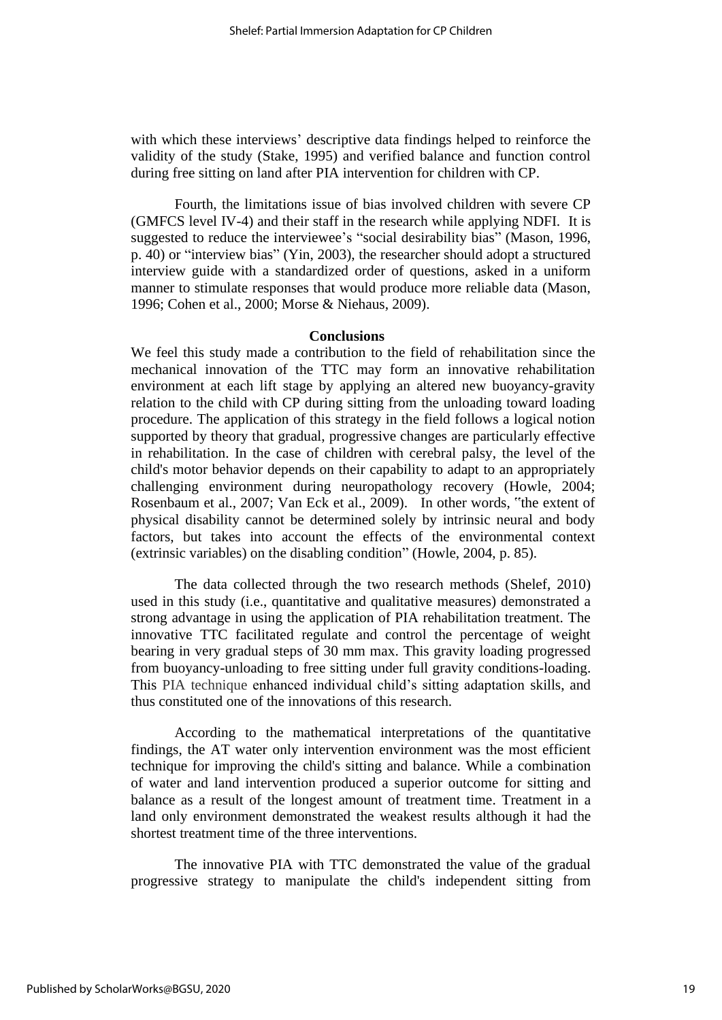with which these interviews' descriptive data findings helped to reinforce the validity of the study (Stake, 1995) and verified balance and function control during free sitting on land after PIA intervention for children with CP.

Fourth, the limitations issue of bias involved children with severe CP (GMFCS level IV-4) and their staff in the research while applying NDFI. It is suggested to reduce the interviewee's "social desirability bias" (Mason, 1996, p. 40) or "interview bias" (Yin, 2003), the researcher should adopt a structured interview guide with a standardized order of questions, asked in a uniform manner to stimulate responses that would produce more reliable data (Mason, 1996; Cohen et al., 2000; Morse & Niehaus, 2009).

#### **Conclusions**

We feel this study made a contribution to the field of rehabilitation since the mechanical innovation of the TTC may form an innovative rehabilitation environment at each lift stage by applying an altered new buoyancy-gravity relation to the child with CP during sitting from the unloading toward loading procedure. The application of this strategy in the field follows a logical notion supported by theory that gradual, progressive changes are particularly effective in rehabilitation. In the case of children with cerebral palsy, the level of the child's motor behavior depends on their capability to adapt to an appropriately challenging environment during neuropathology recovery (Howle, 2004; Rosenbaum et al., 2007; Van Eck et al., 2009). In other words, "the extent of physical disability cannot be determined solely by intrinsic neural and body factors, but takes into account the effects of the environmental context (extrinsic variables) on the disabling condition" (Howle, 2004, p. 85).

The data collected through the two research methods (Shelef, 2010) used in this study (i.e., quantitative and qualitative measures) demonstrated a strong advantage in using the application of PIA rehabilitation treatment. The innovative TTC facilitated regulate and control the percentage of weight bearing in very gradual steps of 30 mm max. This gravity loading progressed from buoyancy-unloading to free sitting under full gravity conditions-loading. This PIA technique enhanced individual child's sitting adaptation skills, and thus constituted one of the innovations of this research.

According to the mathematical interpretations of the quantitative findings, the AT water only intervention environment was the most efficient technique for improving the child's sitting and balance. While a combination of water and land intervention produced a superior outcome for sitting and balance as a result of the longest amount of treatment time. Treatment in a land only environment demonstrated the weakest results although it had the shortest treatment time of the three interventions.

The innovative PIA with TTC demonstrated the value of the gradual progressive strategy to manipulate the child's independent sitting from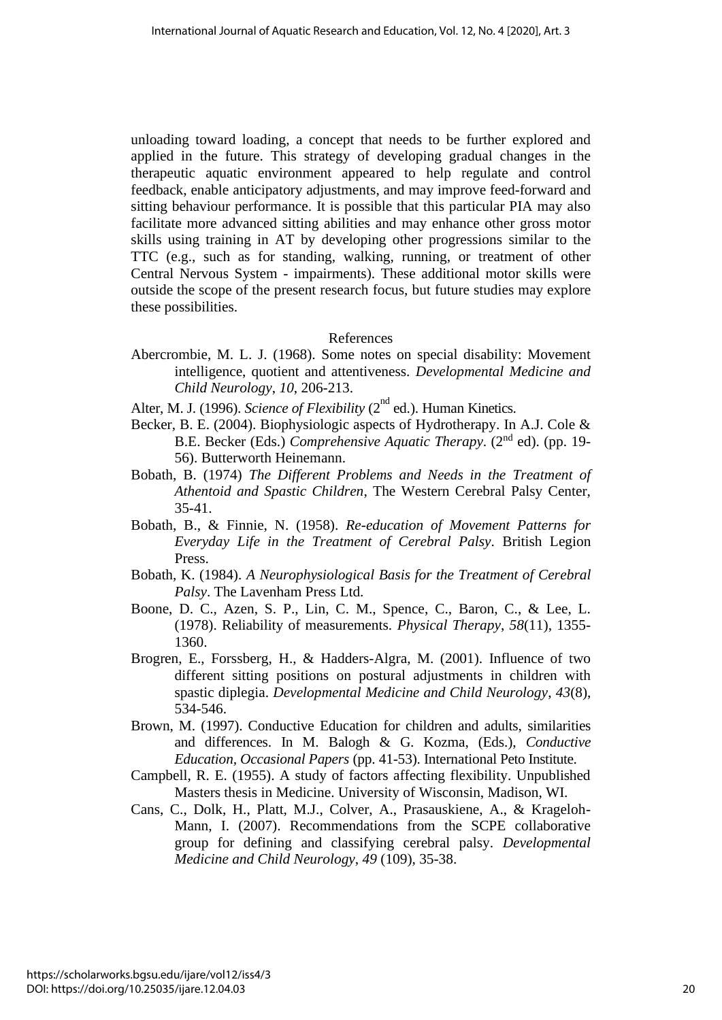unloading toward loading, a concept that needs to be further explored and applied in the future. This strategy of developing gradual changes in the therapeutic aquatic environment appeared to help regulate and control feedback, enable anticipatory adjustments, and may improve feed-forward and sitting behaviour performance. It is possible that this particular PIA may also facilitate more advanced sitting abilities and may enhance other gross motor skills using training in AT by developing other progressions similar to the TTC (e.g., such as for standing, walking, running, or treatment of other Central Nervous System - impairments). These additional motor skills were outside the scope of the present research focus, but future studies may explore these possibilities.

# References

- Abercrombie, M. L. J. (1968). Some notes on special disability: Movement intelligence, quotient and attentiveness. *Developmental Medicine and Child Neurology*, *10*, 206-213.
- Alter, M. J. (1996). *Science of Flexibility* (2<sup>nd</sup> ed.). Human Kinetics.
- Becker, B. E. (2004). Biophysiologic aspects of Hydrotherapy. In A.J. Cole & B.E. Becker (Eds.) *Comprehensive Aquatic Therapy*. (2<sup>nd</sup> ed). (pp. 19-56). Butterworth Heinemann.
- Bobath, B. (1974) *The Different Problems and Needs in the Treatment of Athentoid and Spastic Children*, The Western Cerebral Palsy Center, 35-41.
- Bobath, B., & Finnie, N. (1958). *Re-education of Movement Patterns for Everyday Life in the Treatment of Cerebral Palsy*. British Legion Press.
- Bobath, K. (1984). *A Neurophysiological Basis for the Treatment of Cerebral Palsy*. The Lavenham Press Ltd.
- Boone, D. C., Azen, S. P., Lin, C. M., Spence, C., Baron, C., & Lee, L. (1978). Reliability of measurements. *Physical Therapy*, *58*(11), 1355- 1360.
- Brogren, E., Forssberg, H., & Hadders-Algra, M. (2001). Influence of two different sitting positions on postural adjustments in children with spastic diplegia. *Developmental Medicine and Child Neurology*, *43*(8), 534-546.
- Brown, M. (1997). Conductive Education for children and adults, similarities and differences. In M. Balogh & G. Kozma, (Eds.), *Conductive Education, Occasional Papers* (pp. 41-53). International Peto Institute.
- Campbell, R. E. (1955). A study of factors affecting flexibility. Unpublished Masters thesis in Medicine. University of Wisconsin, Madison, WI.
- Cans, C., Dolk, H., Platt, M.J., Colver, A., Prasauskiene, A., & Krageloh-Mann, I. (2007). Recommendations from the SCPE collaborative group for defining and classifying cerebral palsy. *Developmental Medicine and Child Neurology*, *49* (109), 35-38.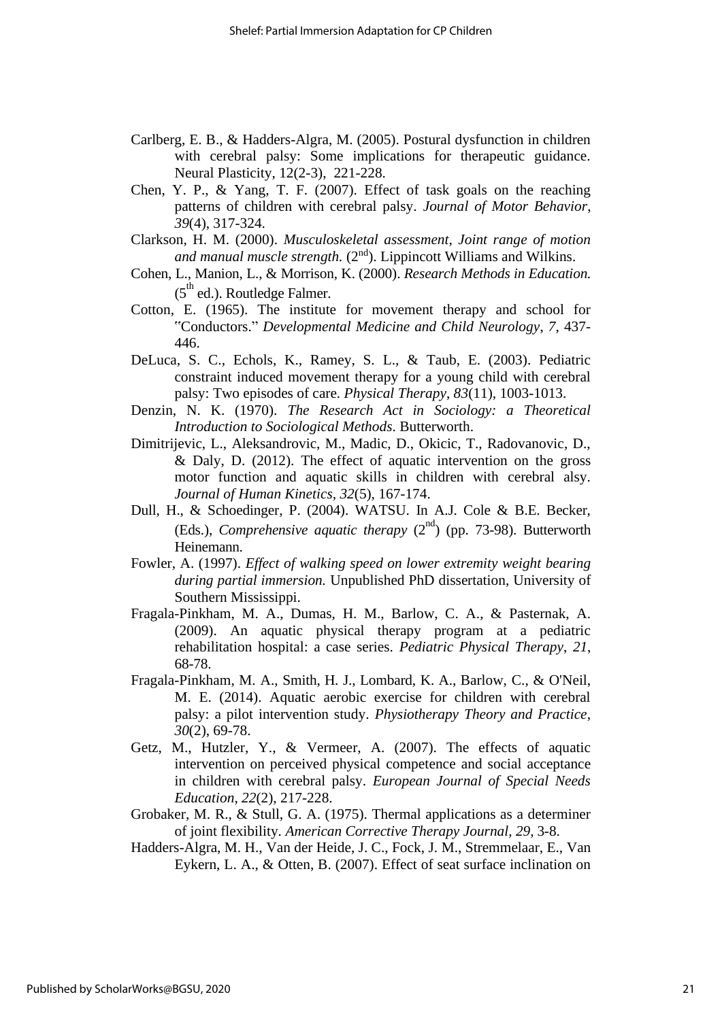- Carlberg, E. B., & Hadders-Algra, M. (2005). Postural dysfunction in children with cerebral palsy: Some implications for therapeutic guidance. Neural Plasticity, 12(2-3), 221-228.
- Chen, Y. P., & Yang, T. F. (2007). Effect of task goals on the reaching patterns of children with cerebral palsy. *Journal of Motor Behavior*, *39*(4), 317-324.
- Clarkson, H. M. (2000). *Musculoskeletal assessment, Joint range of motion*  and manual muscle strength. (2<sup>nd</sup>). Lippincott Williams and Wilkins.
- Cohen, L., Manion, L., & Morrison, K. (2000). *Research Methods in Education.*  $(5<sup>th</sup>$  ed.). Routledge Falmer.
- Cotton, E. (1965). The institute for movement therapy and school for "Conductors." *Developmental Medicine and Child Neurology*, *7*, 437- 446.
- DeLuca, S. C., Echols, K., Ramey, S. L., & Taub, E. (2003). Pediatric constraint induced movement therapy for a young child with cerebral palsy: Two episodes of care. *Physical Therapy*, *83*(11), 1003-1013.
- Denzin, N. K. (1970). *The Research Act in Sociology: a Theoretical Introduction to Sociological Methods*. Butterworth.
- Dimitrijevic, L., Aleksandrovic, M., Madic, D., Okicic, T., Radovanovic, D., & Daly, D. (2012). The effect of aquatic intervention on the gross motor function and aquatic skills in children with cerebral alsy. *Journal of Human Kinetics, 32*(5), 167-174.
- Dull, H., & Schoedinger, P. (2004). WATSU. In A.J. Cole & B.E. Becker, (Eds.), *Comprehensive aquatic therapy*  $(2<sup>nd</sup>)$  (pp. 73-98). Butterworth Heinemann.
- Fowler, A. (1997). *Effect of walking speed on lower extremity weight bearing during partial immersion.* Unpublished PhD dissertation, University of Southern Mississippi.
- Fragala-Pinkham, M. A., Dumas, H. M., Barlow, C. A., & Pasternak, A. (2009). An aquatic physical therapy program at a pediatric rehabilitation hospital: a case series. *Pediatric Physical Therapy*, *21*, 68-78.
- Fragala-Pinkham, M. A., Smith, H. J., Lombard, K. A., Barlow, C., & O'Neil, M. E. (2014). Aquatic aerobic exercise for children with cerebral palsy: a pilot intervention study. *Physiotherapy Theory and Practice*, *30*(2), 69-78.
- Getz, M., Hutzler, Y., & Vermeer, A. (2007). The effects of aquatic intervention on perceived physical competence and social acceptance in children with cerebral palsy. *European Journal of Special Needs Education*, *22*(2), 217-228.
- Grobaker, M. R., & Stull, G. A. (1975). Thermal applications as a determiner of joint flexibility. *American Corrective Therapy Journal, 29*, 3-8.
- Hadders-Algra, M. H., Van der Heide, J. C., Fock, J. M., Stremmelaar, E., Van Eykern, L. A., & Otten, B. (2007). Effect of seat surface inclination on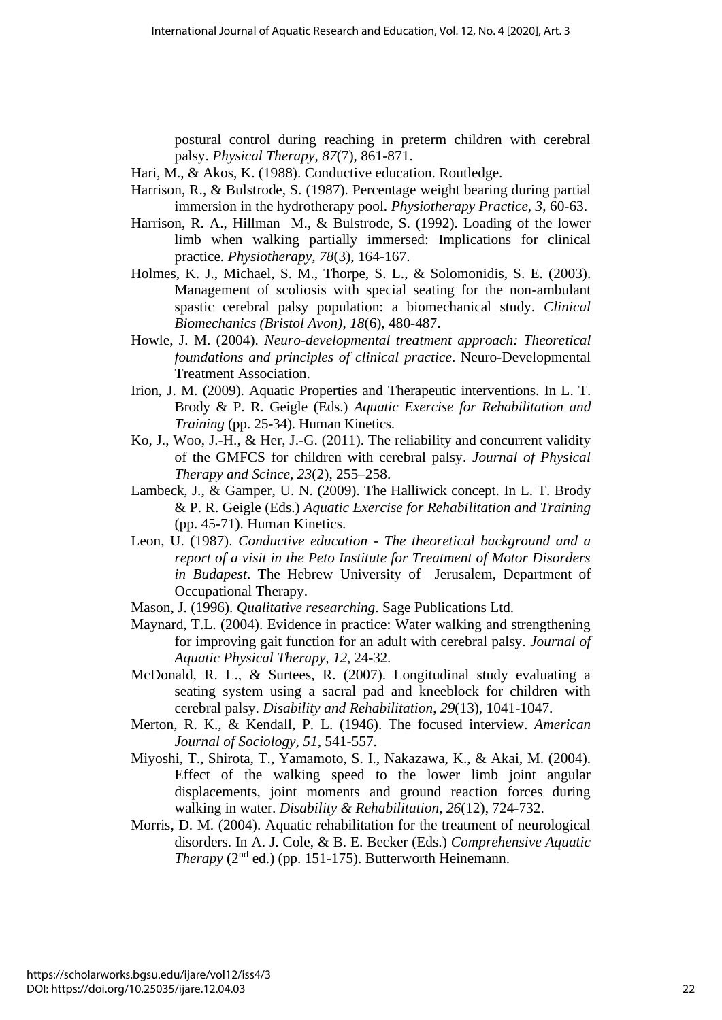postural control during reaching in preterm children with cerebral palsy. *Physical Therapy*, *87*(7), 861-871.

Hari, M., & Akos, K. (1988). Conductive education. Routledge.

- Harrison, R., & Bulstrode, S. (1987). Percentage weight bearing during partial immersion in the hydrotherapy pool. *Physiotherapy Practice, 3*, 60-63.
- Harrison, R. A., Hillman M., & Bulstrode, S. (1992). Loading of the lower limb when walking partially immersed: Implications for clinical practice. *Physiotherapy*, *78*(3), 164-167.
- Holmes, K. J., Michael, S. M., Thorpe, S. L., & Solomonidis, S. E. (2003). Management of scoliosis with special seating for the non-ambulant spastic cerebral palsy population: a biomechanical study. *Clinical Biomechanics (Bristol Avon)*, *18*(6), 480**-**487.
- Howle, J. M. (2004). *Neuro-developmental treatment approach: Theoretical foundations and principles of clinical practice*. Neuro-Developmental Treatment Association.
- Irion, J. M. (2009). Aquatic Properties and Therapeutic interventions. In L. T. Brody & P. R. Geigle (Eds.) *Aquatic Exercise for Rehabilitation and Training* (pp. 25-34). Human Kinetics.
- Ko, J., Woo, J.-H., & Her, J.-G. (2011). The reliability and concurrent validity of the GMFCS for children with cerebral palsy. *Journal of Physical Therapy and Scince, 23*(2), 255–258.
- Lambeck, J., & Gamper, U. N. (2009). The Halliwick concept. In L. T. Brody & P. R. Geigle (Eds.) *Aquatic Exercise for Rehabilitation and Training* (pp. 45-71). Human Kinetics.
- Leon, U. (1987). *Conductive education The theoretical background and a report of a visit in the Peto Institute for Treatment of Motor Disorders in Budapest*. The Hebrew University of Jerusalem, Department of Occupational Therapy.
- Mason, J. (1996). *Qualitative researching*. Sage Publications Ltd.
- Maynard, T.L. (2004). Evidence in practice: Water walking and strengthening for improving gait function for an adult with cerebral palsy. *Journal of Aquatic Physical Therapy, 12*, 24-32.
- McDonald, R. L., & Surtees, R. (2007). Longitudinal study evaluating a seating system using a sacral pad and kneeblock for children with cerebral palsy. *Disability and Rehabilitation*, *29*(13), 1041-1047.
- Merton, R. K., & Kendall, P. L. (1946). The focused interview. *American Journal of Sociology, 51*, 541-557.
- Miyoshi, T., Shirota, T., Yamamoto, S. I., Nakazawa, K., & Akai, M. (2004). Effect of the walking speed to the lower limb joint angular displacements, joint moments and ground reaction forces during walking in water. *Disability & Rehabilitation*, *26*(12), 724-732.
- Morris, D. M. (2004). Aquatic rehabilitation for the treatment of neurological disorders. In A. J. Cole, & B. E. Becker (Eds.) *Comprehensive Aquatic Therapy* (2<sup>nd</sup> ed.) (pp. 151-175). Butterworth Heinemann.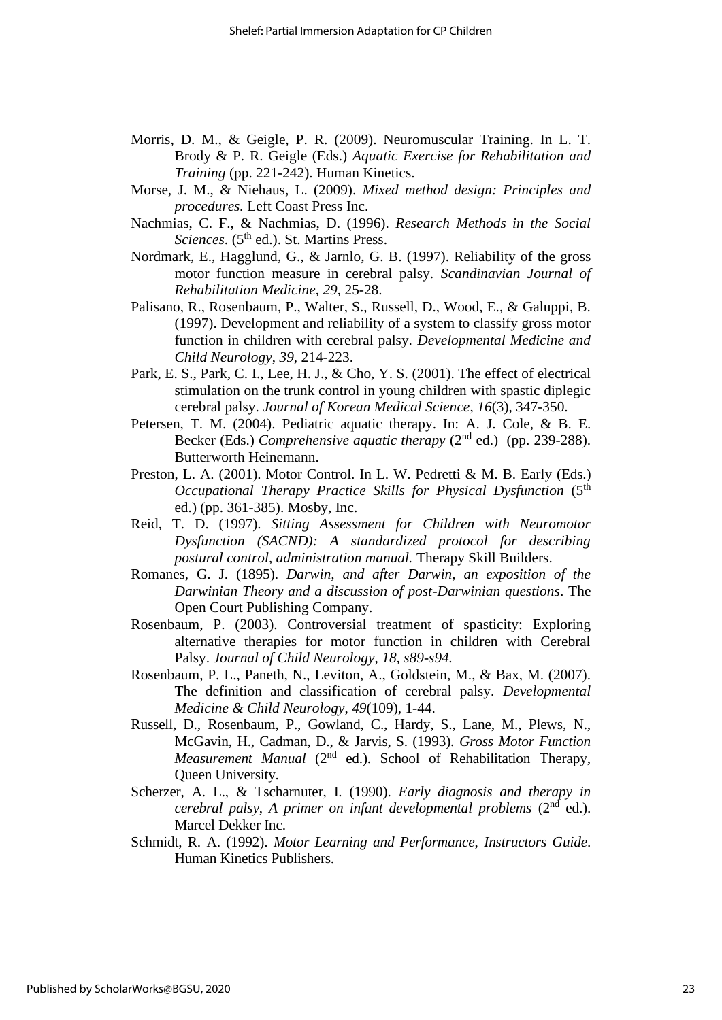- Morris, D. M., & Geigle, P. R. (2009). Neuromuscular Training. In L. T. Brody & P. R. Geigle (Eds.) *Aquatic Exercise for Rehabilitation and Training* (pp. 221-242). Human Kinetics.
- Morse, J. M., & Niehaus, L. (2009). *Mixed method design: Principles and procedures.* Left Coast Press Inc.
- Nachmias, C. F., & Nachmias, D. (1996). *Research Methods in the Social Sciences.* (5<sup>th</sup> ed.). St. Martins Press.
- Nordmark, E., Hagglund, G., & Jarnlo, G. B. (1997). Reliability of the gross motor function measure in cerebral palsy. *Scandinavian Journal of Rehabilitation Medicine*, *29*, 25-28.
- Palisano, R., Rosenbaum, P., Walter, S., Russell, D., Wood, E., & Galuppi, B. (1997). Development and reliability of a system to classify gross motor function in children with cerebral palsy. *Developmental Medicine and Child Neurology*, *39*, 214-223.
- Park, E. S., Park, C. I., Lee, H. J., & Cho, Y. S. (2001). The effect of electrical stimulation on the trunk control in young children with spastic diplegic cerebral palsy. *Journal of Korean Medical Science*, *16*(3), 347-350.
- Petersen, T. M. (2004). Pediatric aquatic therapy. In: A. J. Cole, & B. E. Becker (Eds.) *Comprehensive aquatic therapy* (2<sup>nd</sup> ed.) (pp. 239-288). Butterworth Heinemann.
- Preston, L. A. (2001). Motor Control. In L. W. Pedretti & M. B. Early (Eds.) Occupational Therapy Practice Skills for Physical Dysfunction (5<sup>th</sup> ed.) (pp. 361-385). Mosby, Inc.
- Reid, T. D. (1997). *Sitting Assessment for Children with Neuromotor Dysfunction (SACND): A standardized protocol for describing postural control, administration manual.* Therapy Skill Builders.
- Romanes, G. J. (1895). *Darwin, and after Darwin, an exposition of the Darwinian Theory and a discussion of post-Darwinian questions*. The Open Court Publishing Company.
- Rosenbaum, P. (2003). Controversial treatment of spasticity: Exploring alternative therapies for motor function in children with Cerebral Palsy. *Journal of Child Neurology*, *18, s89-s94.*
- Rosenbaum, P. L., Paneth, N., Leviton, A., Goldstein, M., & Bax, M. (2007). The definition and classification of cerebral palsy. *Developmental Medicine & Child Neurology*, *49*(109), 1-44.
- Russell, D., Rosenbaum, P., Gowland, C., Hardy, S., Lane, M., Plews, N., McGavin, H., Cadman, D., & Jarvis, S. (1993). *Gross Motor Function Measurement Manual* (2<sup>nd</sup> ed.). School of Rehabilitation Therapy, Queen University*.*
- Scherzer, A. L., & Tscharnuter, I. (1990). *Early diagnosis and therapy in cerebral palsy*, *A primer on infant developmental problems* (2 nd ed.). Marcel Dekker Inc.
- Schmidt, R. A. (1992). *Motor Learning and Performance*, *Instructors Guide*. Human Kinetics Publishers.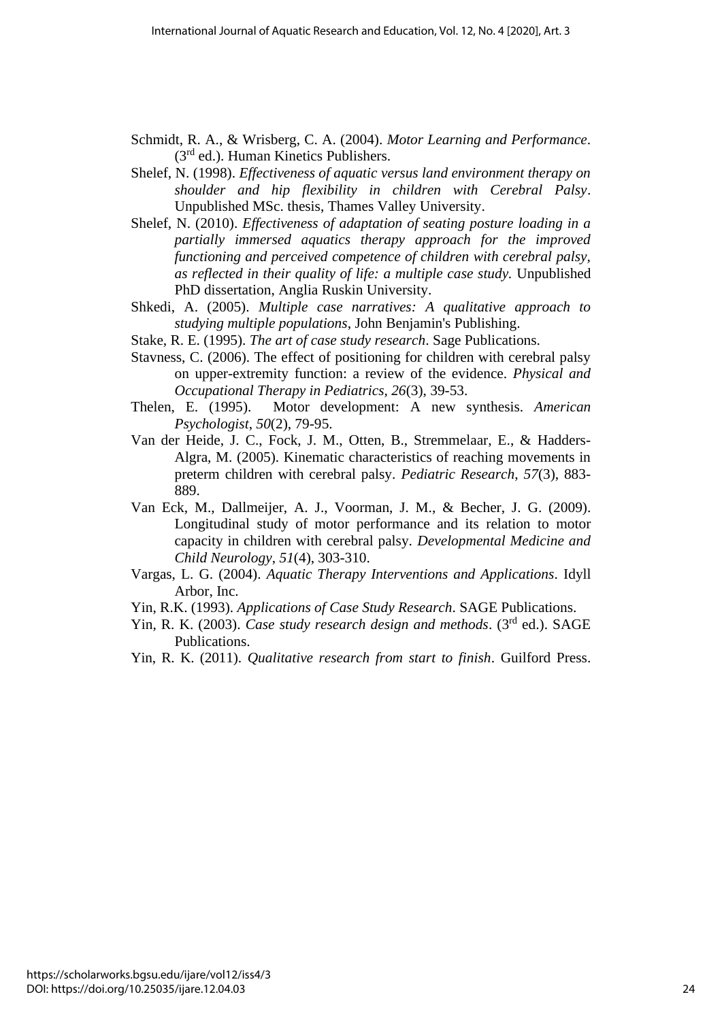- Schmidt, R. A., & Wrisberg, C. A. (2004). *Motor Learning and Performance*. (3rd ed.). Human Kinetics Publishers.
- Shelef, N. (1998). *Effectiveness of aquatic versus land environment therapy on shoulder and hip flexibility in children with Cerebral Palsy*. Unpublished MSc. thesis, Thames Valley University.
- Shelef, N. (2010). *Effectiveness of adaptation of seating posture loading in a partially immersed aquatics therapy approach for the improved functioning and perceived competence of children with cerebral palsy, as reflected in their quality of life: a multiple case study.* Unpublished PhD dissertation, Anglia Ruskin University.
- Shkedi, A. (2005). *Multiple case narratives: A qualitative approach to studying multiple populations*, John Benjamin's Publishing.
- Stake, R. E. (1995). *The art of case study research*. Sage Publications.
- Stavness, C. (2006). The effect of positioning for children with cerebral palsy on upper-extremity function: a review of the evidence. *Physical and Occupational Therapy in Pediatrics, 26*(3), 39-53.
- Thelen, E. (1995). Motor development: A new synthesis. *American Psychologist*, *50*(2), 79-95.
- Van der Heide, J. C., Fock, J. M., Otten, B., Stremmelaar, E., & Hadders-Algra, M. (2005). Kinematic characteristics of reaching movements in preterm children with cerebral palsy. *Pediatric Research*, *57*(3), 883- 889.
- Van Eck, M., Dallmeijer, A. J., Voorman, J. M., & Becher, J. G. (2009). Longitudinal study of motor performance and its relation to motor capacity in children with cerebral palsy. *Developmental Medicine and Child Neurology*, *51*(4), 303-310.
- Vargas, L. G. (2004). *Aquatic Therapy Interventions and Applications*. Idyll Arbor, Inc.
- Yin, R.K. (1993). *Applications of Case Study Research*. SAGE Publications.
- Yin, R. K. (2003). *Case study research design and methods*. (3<sup>rd</sup> ed.). SAGE Publications.
- Yin, R. K. (2011). *Qualitative research from start to finish*. Guilford Press.